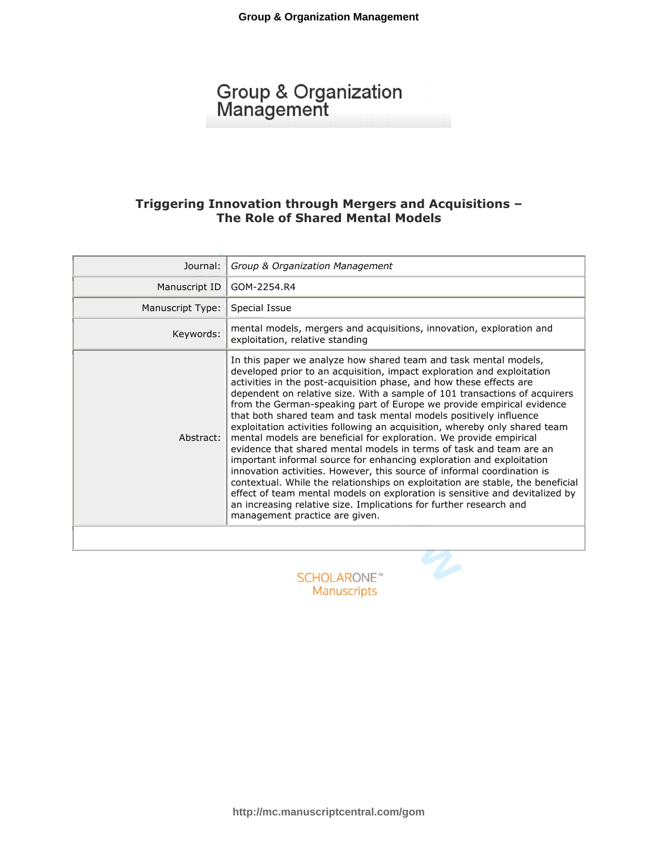# Group & Organization<br>Management

# **Triggering Innovation through Mergers and Acquisitions – The Role of Shared Mental Models**

| Journal:         | Group & Organization Management                                                                                                                                                                                                                                                                                                                                                                                                                                                                                                                                                                                                                                                                                                                                                                                                                                                                                                                                                                                                                                                                      |
|------------------|------------------------------------------------------------------------------------------------------------------------------------------------------------------------------------------------------------------------------------------------------------------------------------------------------------------------------------------------------------------------------------------------------------------------------------------------------------------------------------------------------------------------------------------------------------------------------------------------------------------------------------------------------------------------------------------------------------------------------------------------------------------------------------------------------------------------------------------------------------------------------------------------------------------------------------------------------------------------------------------------------------------------------------------------------------------------------------------------------|
| Manuscript ID    | GOM-2254.R4                                                                                                                                                                                                                                                                                                                                                                                                                                                                                                                                                                                                                                                                                                                                                                                                                                                                                                                                                                                                                                                                                          |
| Manuscript Type: | Special Issue                                                                                                                                                                                                                                                                                                                                                                                                                                                                                                                                                                                                                                                                                                                                                                                                                                                                                                                                                                                                                                                                                        |
| Keywords:        | mental models, mergers and acquisitions, innovation, exploration and<br>exploitation, relative standing                                                                                                                                                                                                                                                                                                                                                                                                                                                                                                                                                                                                                                                                                                                                                                                                                                                                                                                                                                                              |
| Abstract:        | In this paper we analyze how shared team and task mental models,<br>developed prior to an acquisition, impact exploration and exploitation<br>activities in the post-acquisition phase, and how these effects are<br>dependent on relative size. With a sample of 101 transactions of acquirers<br>from the German-speaking part of Europe we provide empirical evidence<br>that both shared team and task mental models positively influence<br>exploitation activities following an acquisition, whereby only shared team<br>mental models are beneficial for exploration. We provide empirical<br>evidence that shared mental models in terms of task and team are an<br>important informal source for enhancing exploration and exploitation<br>innovation activities. However, this source of informal coordination is<br>contextual. While the relationships on exploitation are stable, the beneficial<br>effect of team mental models on exploration is sensitive and devitalized by<br>an increasing relative size. Implications for further research and<br>management practice are given. |
|                  |                                                                                                                                                                                                                                                                                                                                                                                                                                                                                                                                                                                                                                                                                                                                                                                                                                                                                                                                                                                                                                                                                                      |
|                  | HULARONE"                                                                                                                                                                                                                                                                                                                                                                                                                                                                                                                                                                                                                                                                                                                                                                                                                                                                                                                                                                                                                                                                                            |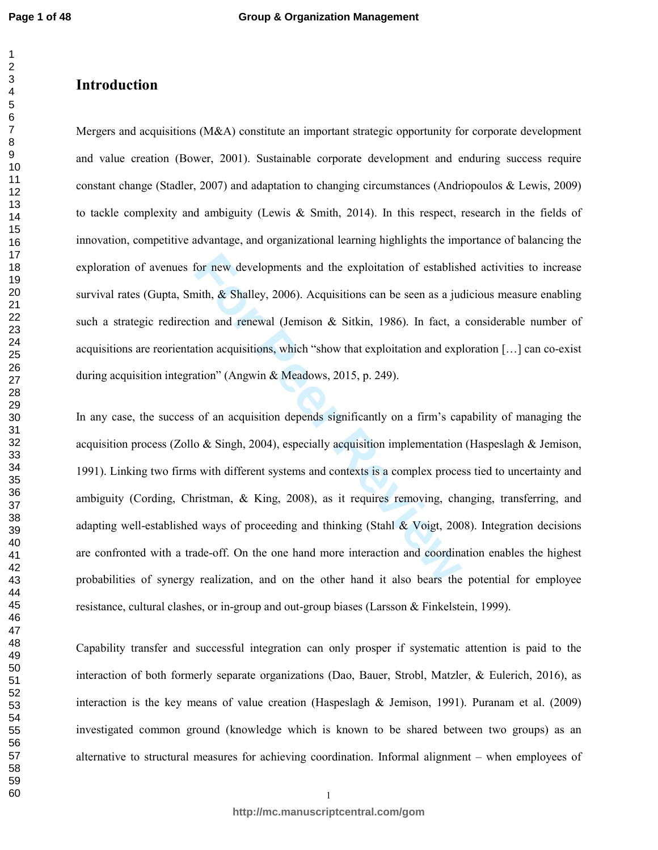#### $\overline{2}$

# **Introduction**

Mergers and acquisitions (M&A) constitute an important strategic opportunity for corporate development and value creation (Bower, 2001). Sustainable corporate development and enduring success require constant change (Stadler, 2007) and adaptation to changing circumstances (Andriopoulos & Lewis, 2009) to tackle complexity and ambiguity (Lewis & Smith, 2014). In this respect, research in the fields of innovation, competitive advantage, and organizational learning highlights the importance of balancing the exploration of avenues for new developments and the exploitation of established activities to increase survival rates (Gupta, Smith,  $\&$  Shalley, 2006). Acquisitions can be seen as a judicious measure enabling such a strategic redirection and renewal (Jemison & Sitkin, 1986). In fact, a considerable number of acquisitions are reorientation acquisitions, which "show that exploitation and exploration […] can co-exist during acquisition integration" (Angwin & Meadows, 2015, p. 249).

for new developments and the exploitation of establish<br>nith, & Shalley, 2006). Acquisitions can be seen as a jud<br>ion and renewal (Jemison & Sitkin, 1986). In fact, a<br>tion acquisitions, which "show that exploitation and ex In any case, the success of an acquisition depends significantly on a firm's capability of managing the acquisition process (Zollo & Singh, 2004), especially acquisition implementation (Haspeslagh & Jemison, 1991). Linking two firms with different systems and contexts is a complex process tied to uncertainty and ambiguity (Cording, Christman, & King, 2008), as it requires removing, changing, transferring, and adapting well-established ways of proceeding and thinking (Stahl & Voigt, 2008). Integration decisions are confronted with a trade-off. On the one hand more interaction and coordination enables the highest probabilities of synergy realization, and on the other hand it also bears the potential for employee resistance, cultural clashes, or in-group and out-group biases (Larsson & Finkelstein, 1999).

Capability transfer and successful integration can only prosper if systematic attention is paid to the interaction of both formerly separate organizations (Dao, Bauer, Strobl, Matzler, & Eulerich, 2016), as interaction is the key means of value creation (Haspeslagh  $\&$  Jemison, 1991). Puranam et al. (2009) investigated common ground (knowledge which is known to be shared between two groups) as an alternative to structural measures for achieving coordination. Informal alignment – when employees of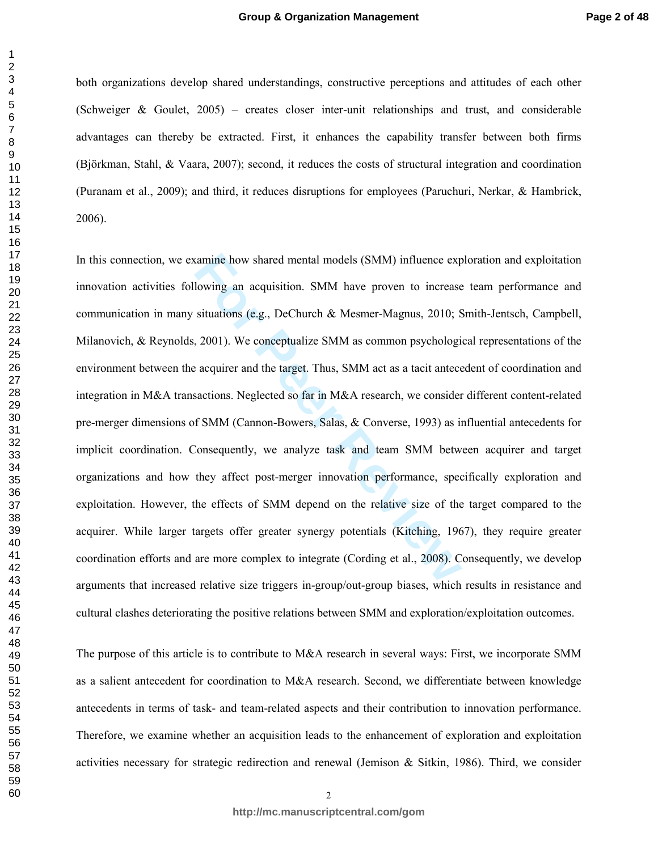both organizations develop shared understandings, constructive perceptions and attitudes of each other (Schweiger & Goulet, 2005) – creates closer inter-unit relationships and trust, and considerable advantages can thereby be extracted. First, it enhances the capability transfer between both firms (Björkman, Stahl, & Vaara, 2007); second, it reduces the costs of structural integration and coordination (Puranam et al., 2009); and third, it reduces disruptions for employees (Paruchuri, Nerkar, & Hambrick, 2006).

ramine how shared mental models (SMM) influence explowing an acquisition. SMM have proven to increase situations (e.g., DeChurch & Mesmer-Magnus, 2010; S, 2001). We conceptualize SMM as common psychologic acquirer and the In this connection, we examine how shared mental models (SMM) influence exploration and exploitation innovation activities following an acquisition. SMM have proven to increase team performance and communication in many situations (e.g., DeChurch & Mesmer-Magnus, 2010; Smith-Jentsch, Campbell, Milanovich, & Reynolds, 2001). We conceptualize SMM as common psychological representations of the environment between the acquirer and the target. Thus, SMM act as a tacit antecedent of coordination and integration in M&A transactions. Neglected so far in M&A research, we consider different content-related pre-merger dimensions of SMM (Cannon-Bowers, Salas, & Converse, 1993) as influential antecedents for implicit coordination. Consequently, we analyze task and team SMM between acquirer and target organizations and how they affect post-merger innovation performance, specifically exploration and exploitation. However, the effects of SMM depend on the relative size of the target compared to the acquirer. While larger targets offer greater synergy potentials (Kitching, 1967), they require greater coordination efforts and are more complex to integrate (Cording et al., 2008). Consequently, we develop arguments that increased relative size triggers in-group/out-group biases, which results in resistance and cultural clashes deteriorating the positive relations between SMM and exploration/exploitation outcomes.

The purpose of this article is to contribute to M&A research in several ways: First, we incorporate SMM as a salient antecedent for coordination to M&A research. Second, we differentiate between knowledge antecedents in terms of task- and team-related aspects and their contribution to innovation performance. Therefore, we examine whether an acquisition leads to the enhancement of exploration and exploitation activities necessary for strategic redirection and renewal (Jemison & Sitkin, 1986). Third, we consider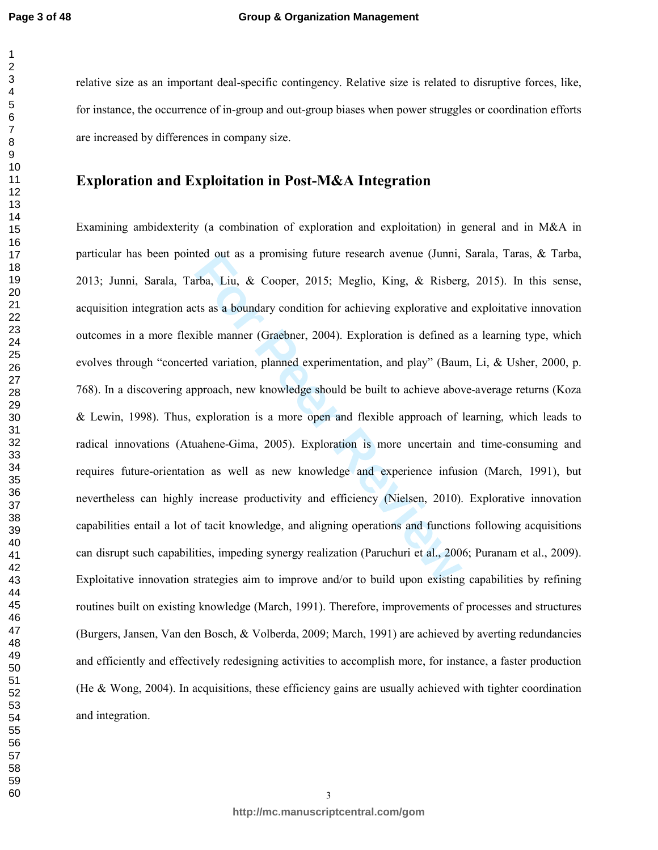relative size as an important deal-specific contingency. Relative size is related to disruptive forces, like, for instance, the occurrence of in-group and out-group biases when power struggles or coordination efforts are increased by differences in company size.

# **Exploration and Exploitation in Post-M&A Integration**

rea out as a promising ruture research avenue (Junni, rba, Liu, & Cooper, 2015; Meglio, King, & Risberg<br> *For Peer Reviewald Cooper*, 2004). Exploration is defined a<br> *For Peer Reviewald Cooper*, 2004). Exploration is defi Examining ambidexterity (a combination of exploration and exploitation) in general and in M&A in particular has been pointed out as a promising future research avenue (Junni, Sarala, Taras, & Tarba, 2013; Junni, Sarala, Tarba, Liu, & Cooper, 2015; Meglio, King, & Risberg, 2015). In this sense, acquisition integration acts as a boundary condition for achieving explorative and exploitative innovation outcomes in a more flexible manner (Graebner, 2004). Exploration is defined as a learning type, which evolves through "concerted variation, planned experimentation, and play" (Baum, Li, & Usher, 2000, p. 768). In a discovering approach, new knowledge should be built to achieve above-average returns (Koza & Lewin, 1998). Thus, exploration is a more open and flexible approach of learning, which leads to radical innovations (Atuahene-Gima, 2005). Exploration is more uncertain and time-consuming and requires future-orientation as well as new knowledge and experience infusion (March, 1991), but nevertheless can highly increase productivity and efficiency (Nielsen, 2010). Explorative innovation capabilities entail a lot of tacit knowledge, and aligning operations and functions following acquisitions can disrupt such capabilities, impeding synergy realization (Paruchuri et al., 2006; Puranam et al., 2009). Exploitative innovation strategies aim to improve and/or to build upon existing capabilities by refining routines built on existing knowledge (March, 1991). Therefore, improvements of processes and structures (Burgers, Jansen, Van den Bosch, & Volberda, 2009; March, 1991) are achieved by averting redundancies and efficiently and effectively redesigning activities to accomplish more, for instance, a faster production (He & Wong, 2004). In acquisitions, these efficiency gains are usually achieved with tighter coordination and integration.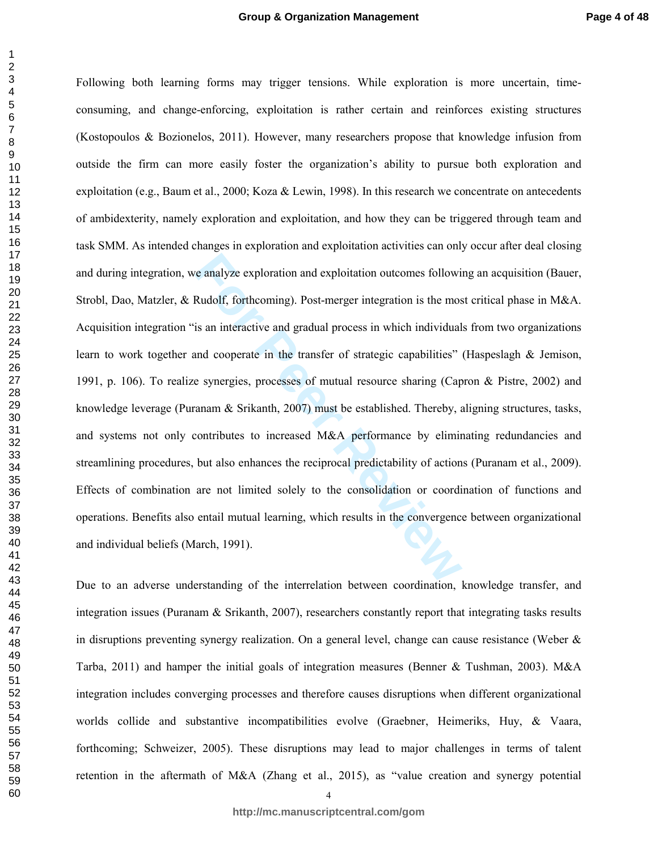re analyze exploration and exploitation outcomes following<br> **Rudolf**, forthcoming). Post-merger integration is the most is an interactive and gradual process in which individual<br>
and cooperate in the transfer of strategic Following both learning forms may trigger tensions. While exploration is more uncertain, timeconsuming, and change-enforcing, exploitation is rather certain and reinforces existing structures (Kostopoulos & Bozionelos, 2011). However, many researchers propose that knowledge infusion from outside the firm can more easily foster the organization's ability to pursue both exploration and exploitation (e.g., Baum et al., 2000; Koza & Lewin, 1998). In this research we concentrate on antecedents of ambidexterity, namely exploration and exploitation, and how they can be triggered through team and task SMM. As intended changes in exploration and exploitation activities can only occur after deal closing and during integration, we analyze exploration and exploitation outcomes following an acquisition (Bauer, Strobl, Dao, Matzler, & Rudolf, forthcoming). Post-merger integration is the most critical phase in M&A. Acquisition integration "is an interactive and gradual process in which individuals from two organizations learn to work together and cooperate in the transfer of strategic capabilities" (Haspeslagh & Jemison, 1991, p. 106). To realize synergies, processes of mutual resource sharing (Capron & Pistre, 2002) and knowledge leverage (Puranam & Srikanth, 2007) must be established. Thereby, aligning structures, tasks, and systems not only contributes to increased M&A performance by eliminating redundancies and streamlining procedures, but also enhances the reciprocal predictability of actions (Puranam et al., 2009). Effects of combination are not limited solely to the consolidation or coordination of functions and operations. Benefits also entail mutual learning, which results in the convergence between organizational and individual beliefs (March, 1991).

Due to an adverse understanding of the interrelation between coordination, knowledge transfer, and integration issues (Puranam  $\&$  Srikanth, 2007), researchers constantly report that integrating tasks results in disruptions preventing synergy realization. On a general level, change can cause resistance (Weber & Tarba, 2011) and hamper the initial goals of integration measures (Benner & Tushman, 2003). M&A integration includes converging processes and therefore causes disruptions when different organizational worlds collide and substantive incompatibilities evolve (Graebner, Heimeriks, Huy, & Vaara, forthcoming; Schweizer, 2005). These disruptions may lead to major challenges in terms of talent retention in the aftermath of M&A (Zhang et al., 2015), as "value creation and synergy potential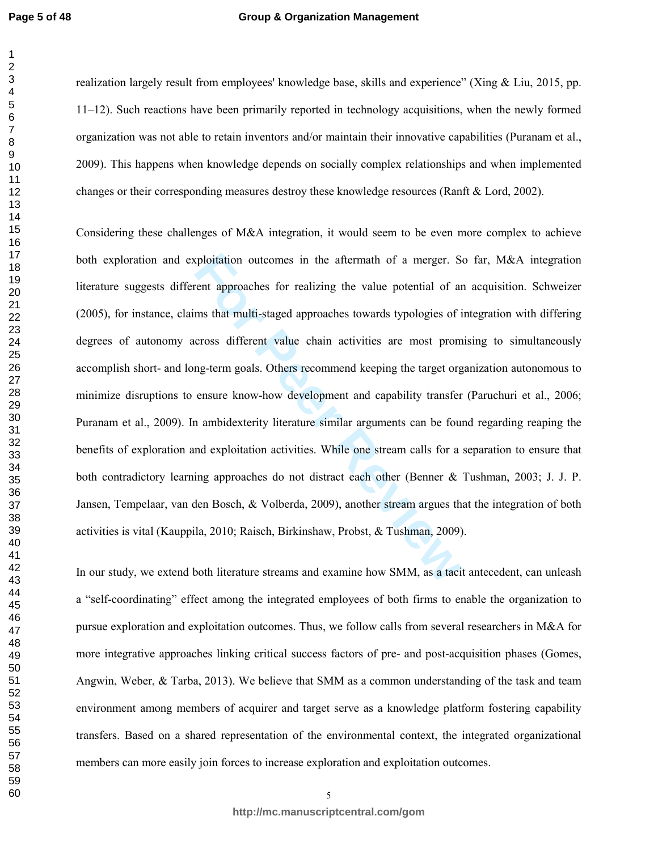#### **Group & Organization Management**

realization largely result from employees' knowledge base, skills and experience" (Xing & Liu, 2015, pp. 11–12). Such reactions have been primarily reported in technology acquisitions, when the newly formed organization was not able to retain inventors and/or maintain their innovative capabilities (Puranam et al., 2009). This happens when knowledge depends on socially complex relationships and when implemented changes or their corresponding measures destroy these knowledge resources (Ranft & Lord, 2002).

repositation outcomes in the aftermath of a merger. Seent approaches for realizing the value potential of arms that multi-staged approaches towards typologies of i<br>cross different value chain activities are most prom<br>ng-te Considering these challenges of M&A integration, it would seem to be even more complex to achieve both exploration and exploitation outcomes in the aftermath of a merger. So far, M&A integration literature suggests different approaches for realizing the value potential of an acquisition. Schweizer (2005), for instance, claims that multi-staged approaches towards typologies of integration with differing degrees of autonomy across different value chain activities are most promising to simultaneously accomplish short- and long-term goals. Others recommend keeping the target organization autonomous to minimize disruptions to ensure know-how development and capability transfer (Paruchuri et al., 2006; Puranam et al., 2009). In ambidexterity literature similar arguments can be found regarding reaping the benefits of exploration and exploitation activities. While one stream calls for a separation to ensure that both contradictory learning approaches do not distract each other (Benner & Tushman, 2003; J. J. P. Jansen, Tempelaar, van den Bosch, & Volberda, 2009), another stream argues that the integration of both activities is vital (Kauppila, 2010; Raisch, Birkinshaw, Probst, & Tushman, 2009).

In our study, we extend both literature streams and examine how SMM, as a tacit antecedent, can unleash a "self-coordinating" effect among the integrated employees of both firms to enable the organization to pursue exploration and exploitation outcomes. Thus, we follow calls from several researchers in M&A for more integrative approaches linking critical success factors of pre- and post-acquisition phases (Gomes, Angwin, Weber, & Tarba, 2013). We believe that SMM as a common understanding of the task and team environment among members of acquirer and target serve as a knowledge platform fostering capability transfers. Based on a shared representation of the environmental context, the integrated organizational members can more easily join forces to increase exploration and exploitation outcomes.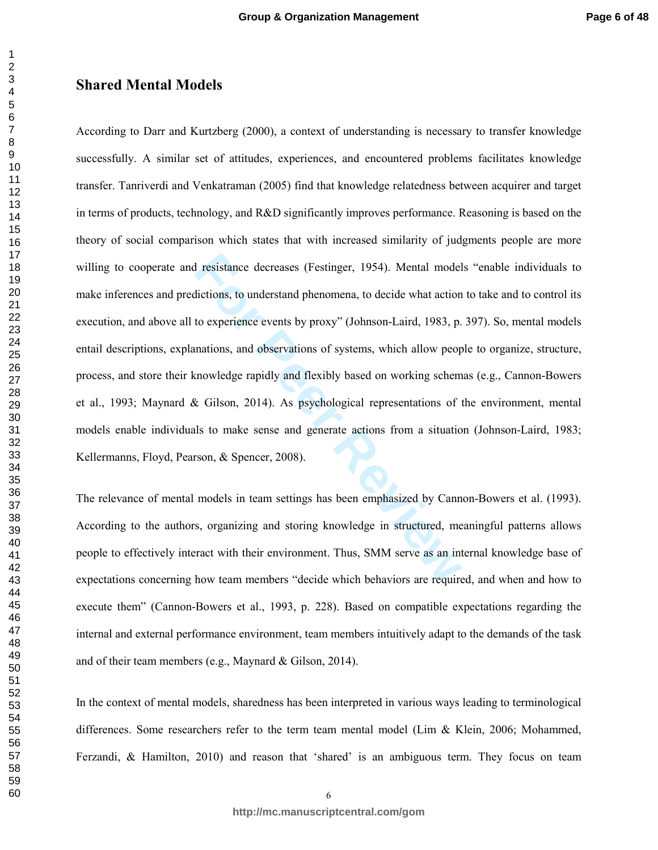#### **Shared Mental Models**

I resistance decreases (Festinger, 1954). Mental model<br>dictions, to understand phenomena, to decide what action<br>to experience events by proxy" (Johnson-Laird, 1983, p.<br>mations, and observations of systems, which allow peop According to Darr and Kurtzberg (2000), a context of understanding is necessary to transfer knowledge successfully. A similar set of attitudes, experiences, and encountered problems facilitates knowledge transfer. Tanriverdi and Venkatraman (2005) find that knowledge relatedness between acquirer and target in terms of products, technology, and R&D significantly improves performance. Reasoning is based on the theory of social comparison which states that with increased similarity of judgments people are more willing to cooperate and resistance decreases (Festinger, 1954). Mental models "enable individuals to make inferences and predictions, to understand phenomena, to decide what action to take and to control its execution, and above all to experience events by proxy" (Johnson-Laird, 1983, p. 397). So, mental models entail descriptions, explanations, and observations of systems, which allow people to organize, structure, process, and store their knowledge rapidly and flexibly based on working schemas (e.g., Cannon-Bowers et al., 1993; Maynard & Gilson, 2014). As psychological representations of the environment, mental models enable individuals to make sense and generate actions from a situation (Johnson-Laird, 1983; Kellermanns, Floyd, Pearson, & Spencer, 2008).

The relevance of mental models in team settings has been emphasized by Cannon-Bowers et al. (1993). According to the authors, organizing and storing knowledge in structured, meaningful patterns allows people to effectively interact with their environment. Thus, SMM serve as an internal knowledge base of expectations concerning how team members "decide which behaviors are required, and when and how to execute them" (Cannon-Bowers et al., 1993, p. 228). Based on compatible expectations regarding the internal and external performance environment, team members intuitively adapt to the demands of the task and of their team members (e.g., Maynard & Gilson, 2014).

In the context of mental models, sharedness has been interpreted in various ways leading to terminological differences. Some researchers refer to the term team mental model (Lim & Klein, 2006; Mohammed, Ferzandi, & Hamilton, 2010) and reason that 'shared' is an ambiguous term. They focus on team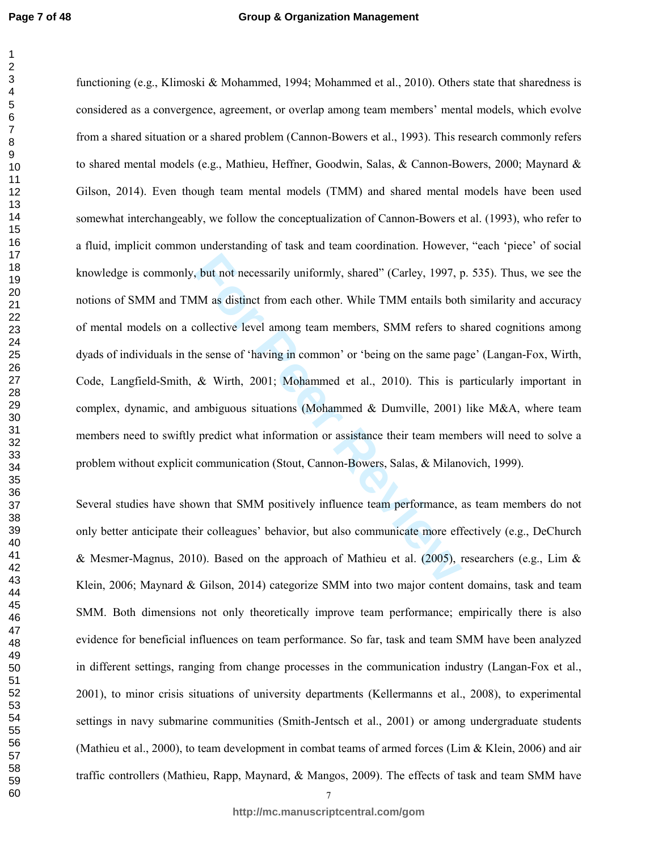#### **Group & Organization Management**

but not necessarily uniformly, shared" (Carley, 1997, pm)<br> **FM** as distinct from each other. While TMM entails both<br>
collective level among team members, SMM refers to s<br>
be sense of 'having in common' or 'being on the sam functioning (e.g., Klimoski & Mohammed, 1994; Mohammed et al., 2010). Others state that sharedness is considered as a convergence, agreement, or overlap among team members' mental models, which evolve from a shared situation or a shared problem (Cannon-Bowers et al., 1993). This research commonly refers to shared mental models (e.g., Mathieu, Heffner, Goodwin, Salas, & Cannon-Bowers, 2000; Maynard & Gilson, 2014). Even though team mental models (TMM) and shared mental models have been used somewhat interchangeably, we follow the conceptualization of Cannon-Bowers et al. (1993), who refer to a fluid, implicit common understanding of task and team coordination. However, "each 'piece' of social knowledge is commonly, but not necessarily uniformly, shared" (Carley, 1997, p. 535). Thus, we see the notions of SMM and TMM as distinct from each other. While TMM entails both similarity and accuracy of mental models on a collective level among team members, SMM refers to shared cognitions among dyads of individuals in the sense of 'having in common' or 'being on the same page' (Langan-Fox, Wirth, Code, Langfield-Smith, & Wirth, 2001; Mohammed et al., 2010). This is particularly important in complex, dynamic, and ambiguous situations (Mohammed & Dumville, 2001) like M&A, where team members need to swiftly predict what information or assistance their team members will need to solve a problem without explicit communication (Stout, Cannon-Bowers, Salas, & Milanovich, 1999).

Several studies have shown that SMM positively influence team performance, as team members do not only better anticipate their colleagues' behavior, but also communicate more effectively (e.g., DeChurch & Mesmer-Magnus, 2010). Based on the approach of Mathieu et al. (2005), researchers (e.g., Lim & Klein, 2006; Maynard & Gilson, 2014) categorize SMM into two major content domains, task and team SMM. Both dimensions not only theoretically improve team performance; empirically there is also evidence for beneficial influences on team performance. So far, task and team SMM have been analyzed in different settings, ranging from change processes in the communication industry (Langan-Fox et al., 2001), to minor crisis situations of university departments (Kellermanns et al., 2008), to experimental settings in navy submarine communities (Smith-Jentsch et al., 2001) or among undergraduate students (Mathieu et al., 2000), to team development in combat teams of armed forces (Lim & Klein, 2006) and air traffic controllers (Mathieu, Rapp, Maynard, & Mangos, 2009). The effects of task and team SMM have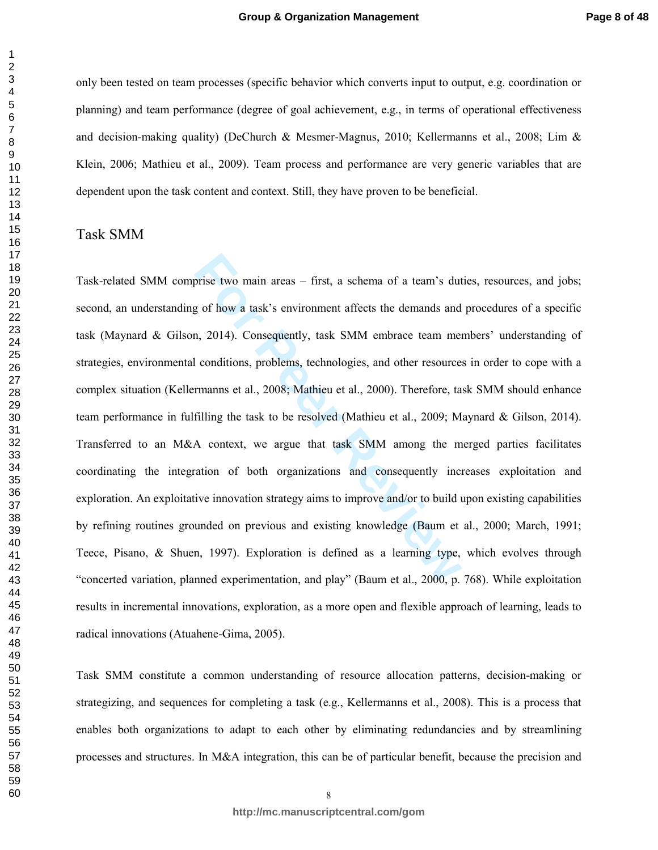only been tested on team processes (specific behavior which converts input to output, e.g. coordination or planning) and team performance (degree of goal achievement, e.g., in terms of operational effectiveness and decision-making quality) (DeChurch & Mesmer-Magnus, 2010; Kellermanns et al., 2008; Lim & Klein, 2006; Mathieu et al., 2009). Team process and performance are very generic variables that are dependent upon the task content and context. Still, they have proven to be beneficial.

#### Task SMM

prise two main areas – first, a schema of a team's dut<br>g of how a task's environment affects the demands and<br>n, 2014). Consequently, task SMM embrace team mer<br>l conditions, problems, technologies, and other resource:<br>rmann Task-related SMM comprise two main areas – first, a schema of a team's duties, resources, and jobs; second, an understanding of how a task's environment affects the demands and procedures of a specific task (Maynard & Gilson, 2014). Consequently, task SMM embrace team members' understanding of strategies, environmental conditions, problems, technologies, and other resources in order to cope with a complex situation (Kellermanns et al., 2008; Mathieu et al., 2000). Therefore, task SMM should enhance team performance in fulfilling the task to be resolved (Mathieu et al., 2009; Maynard & Gilson, 2014). Transferred to an M&A context, we argue that task SMM among the merged parties facilitates coordinating the integration of both organizations and consequently increases exploitation and exploration. An exploitative innovation strategy aims to improve and/or to build upon existing capabilities by refining routines grounded on previous and existing knowledge (Baum et al., 2000; March, 1991; Teece, Pisano, & Shuen, 1997). Exploration is defined as a learning type, which evolves through "concerted variation, planned experimentation, and play" (Baum et al., 2000, p. 768). While exploitation results in incremental innovations, exploration, as a more open and flexible approach of learning, leads to radical innovations (Atuahene-Gima, 2005).

Task SMM constitute a common understanding of resource allocation patterns, decision-making or strategizing, and sequences for completing a task (e.g., Kellermanns et al., 2008). This is a process that enables both organizations to adapt to each other by eliminating redundancies and by streamlining processes and structures. In M&A integration, this can be of particular benefit, because the precision and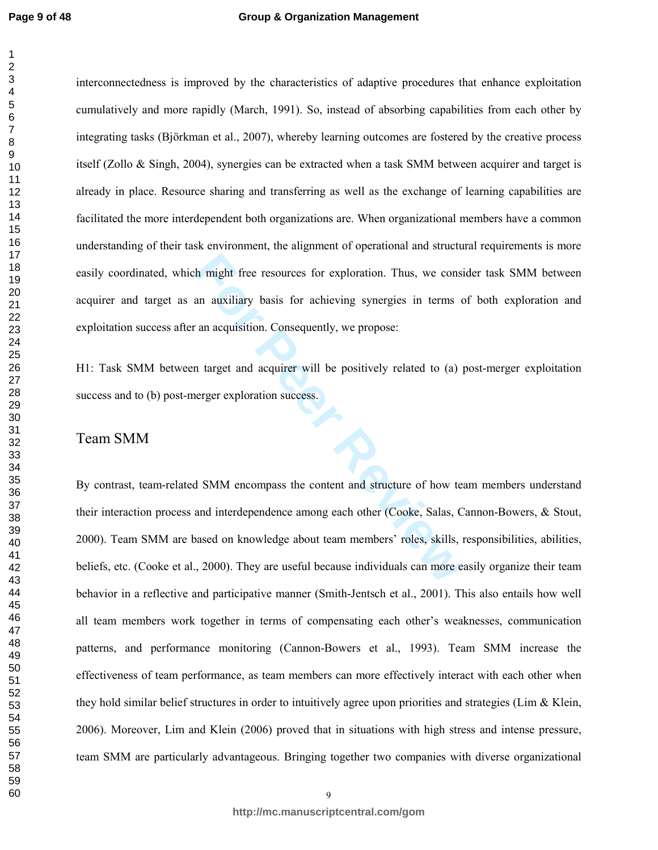interconnectedness is improved by the characteristics of adaptive procedures that enhance exploitation cumulatively and more rapidly (March, 1991). So, instead of absorbing capabilities from each other by integrating tasks (Björkman et al., 2007), whereby learning outcomes are fostered by the creative process itself (Zollo & Singh, 2004), synergies can be extracted when a task SMM between acquirer and target is already in place. Resource sharing and transferring as well as the exchange of learning capabilities are facilitated the more interdependent both organizations are. When organizational members have a common understanding of their task environment, the alignment of operational and structural requirements is more easily coordinated, which might free resources for exploration. Thus, we consider task SMM between acquirer and target as an auxiliary basis for achieving synergies in terms of both exploration and exploitation success after an acquisition. Consequently, we propose:

H1: Task SMM between target and acquirer will be positively related to (a) post-merger exploitation success and to (b) post-merger exploration success.

# Team SMM

In might free resources for exploration. Thus, we cons<br>an auxiliary basis for achieving synergies in terms of<br>an acquisition. Consequently, we propose:<br>n target and acquirer will be positively related to (a)<br>nerger explora By contrast, team-related SMM encompass the content and structure of how team members understand their interaction process and interdependence among each other (Cooke, Salas, Cannon-Bowers, & Stout, 2000). Team SMM are based on knowledge about team members' roles, skills, responsibilities, abilities, beliefs, etc. (Cooke et al., 2000). They are useful because individuals can more easily organize their team behavior in a reflective and participative manner (Smith-Jentsch et al., 2001). This also entails how well all team members work together in terms of compensating each other's weaknesses, communication patterns, and performance monitoring (Cannon-Bowers et al., 1993). Team SMM increase the effectiveness of team performance, as team members can more effectively interact with each other when they hold similar belief structures in order to intuitively agree upon priorities and strategies (Lim & Klein, 2006). Moreover, Lim and Klein (2006) proved that in situations with high stress and intense pressure, team SMM are particularly advantageous. Bringing together two companies with diverse organizational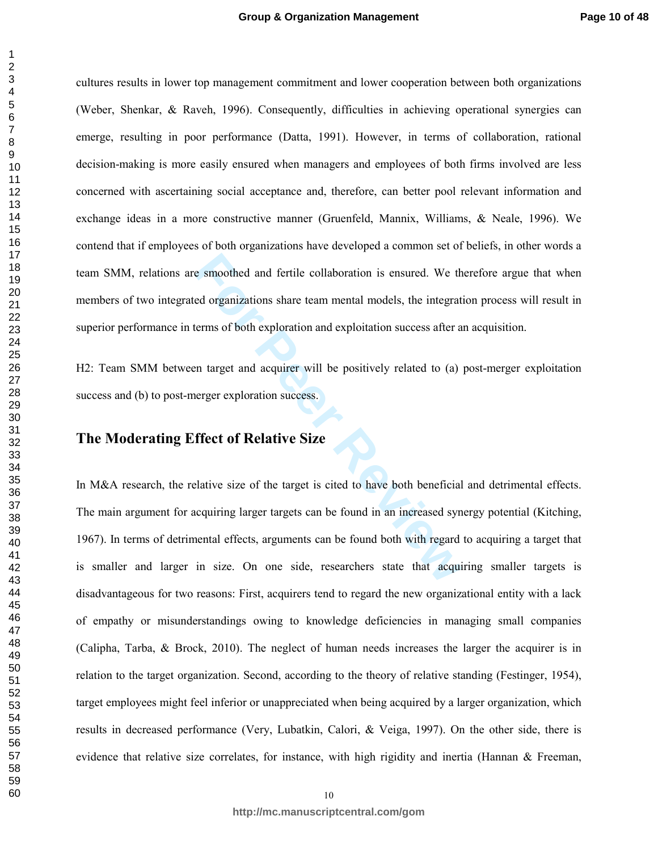cultures results in lower top management commitment and lower cooperation between both organizations (Weber, Shenkar, & Raveh, 1996). Consequently, difficulties in achieving operational synergies can emerge, resulting in poor performance (Datta, 1991). However, in terms of collaboration, rational decision-making is more easily ensured when managers and employees of both firms involved are less concerned with ascertaining social acceptance and, therefore, can better pool relevant information and exchange ideas in a more constructive manner (Gruenfeld, Mannix, Williams, & Neale, 1996). We contend that if employees of both organizations have developed a common set of beliefs, in other words a team SMM, relations are smoothed and fertile collaboration is ensured. We therefore argue that when members of two integrated organizations share team mental models, the integration process will result in superior performance in terms of both exploration and exploitation success after an acquisition.

H2: Team SMM between target and acquirer will be positively related to (a) post-merger exploitation success and (b) to post-merger exploration success.

# **The Moderating Effect of Relative Size**

Exerces an absorption is ensured. We the<br> **Formular Synchic and Synch** ensured is ensured. We the<br> **Formular Exerces Synchron and exploitation success after a**<br> **Formular and acquirer will be positively related to (a)**<br> **F** In M&A research, the relative size of the target is cited to have both beneficial and detrimental effects. The main argument for acquiring larger targets can be found in an increased synergy potential (Kitching, 1967). In terms of detrimental effects, arguments can be found both with regard to acquiring a target that is smaller and larger in size. On one side, researchers state that acquiring smaller targets is disadvantageous for two reasons: First, acquirers tend to regard the new organizational entity with a lack of empathy or misunderstandings owing to knowledge deficiencies in managing small companies (Calipha, Tarba, & Brock, 2010). The neglect of human needs increases the larger the acquirer is in relation to the target organization. Second, according to the theory of relative standing (Festinger, 1954), target employees might feel inferior or unappreciated when being acquired by a larger organization, which results in decreased performance (Very, Lubatkin, Calori, & Veiga, 1997). On the other side, there is evidence that relative size correlates, for instance, with high rigidity and inertia (Hannan & Freeman,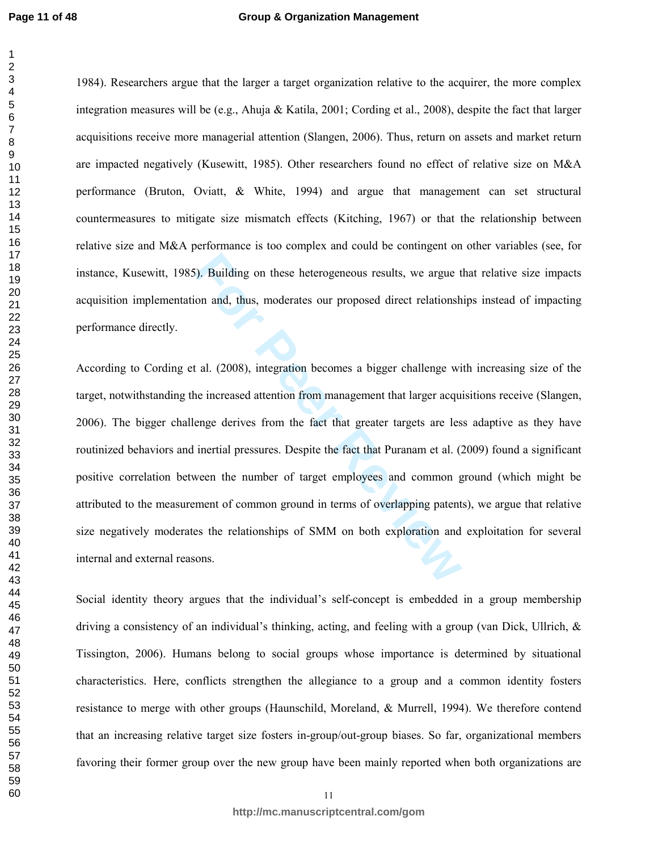#### **Group & Organization Management**

1984). Researchers argue that the larger a target organization relative to the acquirer, the more complex integration measures will be (e.g., Ahuja & Katila, 2001; Cording et al., 2008), despite the fact that larger acquisitions receive more managerial attention (Slangen, 2006). Thus, return on assets and market return are impacted negatively (Kusewitt, 1985). Other researchers found no effect of relative size on M&A performance (Bruton, Oviatt, & White, 1994) and argue that management can set structural countermeasures to mitigate size mismatch effects (Kitching, 1967) or that the relationship between relative size and M&A performance is too complex and could be contingent on other variables (see, for instance, Kusewitt, 1985). Building on these heterogeneous results, we argue that relative size impacts acquisition implementation and, thus, moderates our proposed direct relationships instead of impacting performance directly.

For Publishing on these heterogeneous results, we argue to and, thus, moderates our proposed direct relationsh<br>t al. (2008), integration becomes a bigger challenge wi<br>ne increased attention from management that larger acqu According to Cording et al. (2008), integration becomes a bigger challenge with increasing size of the target, notwithstanding the increased attention from management that larger acquisitions receive (Slangen, 2006). The bigger challenge derives from the fact that greater targets are less adaptive as they have routinized behaviors and inertial pressures. Despite the fact that Puranam et al. (2009) found a significant positive correlation between the number of target employees and common ground (which might be attributed to the measurement of common ground in terms of overlapping patents), we argue that relative size negatively moderates the relationships of SMM on both exploration and exploitation for several internal and external reasons.

Social identity theory argues that the individual's self-concept is embedded in a group membership driving a consistency of an individual's thinking, acting, and feeling with a group (van Dick, Ullrich, & Tissington, 2006). Humans belong to social groups whose importance is determined by situational characteristics. Here, conflicts strengthen the allegiance to a group and a common identity fosters resistance to merge with other groups (Haunschild, Moreland, & Murrell, 1994). We therefore contend that an increasing relative target size fosters in-group/out-group biases. So far, organizational members favoring their former group over the new group have been mainly reported when both organizations are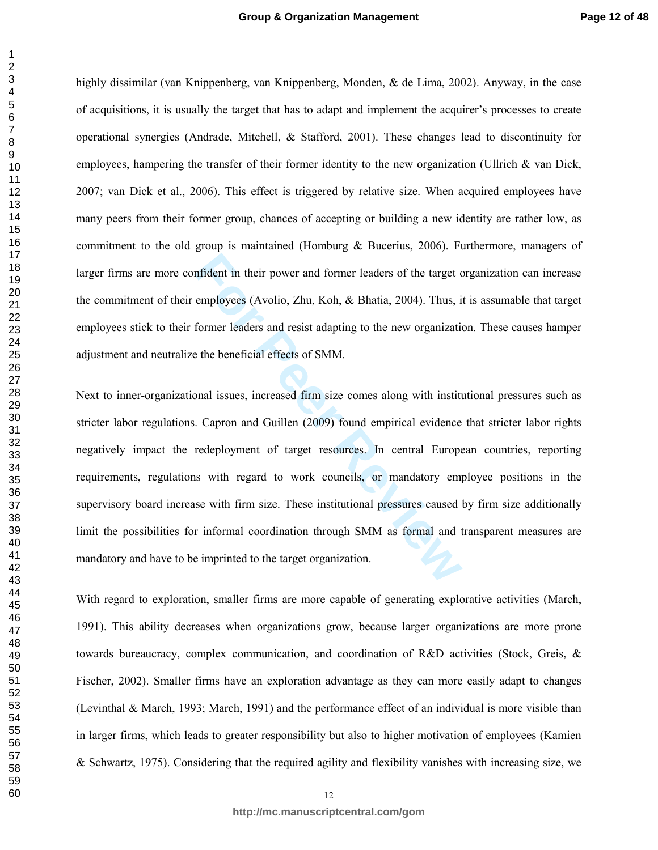highly dissimilar (van Knippenberg, van Knippenberg, Monden, & de Lima, 2002). Anyway, in the case of acquisitions, it is usually the target that has to adapt and implement the acquirer's processes to create operational synergies (Andrade, Mitchell, & Stafford, 2001). These changes lead to discontinuity for employees, hampering the transfer of their former identity to the new organization (Ullrich  $\&$  van Dick, 2007; van Dick et al., 2006). This effect is triggered by relative size. When acquired employees have many peers from their former group, chances of accepting or building a new identity are rather low, as commitment to the old group is maintained (Homburg & Bucerius, 2006). Furthermore, managers of larger firms are more confident in their power and former leaders of the target organization can increase the commitment of their employees (Avolio, Zhu, Koh, & Bhatia, 2004). Thus, it is assumable that target employees stick to their former leaders and resist adapting to the new organization. These causes hamper adjustment and neutralize the beneficial effects of SMM.

motident in their power and former leaders of the target comployees (Avolio, Zhu, Koh, & Bhatia, 2004). Thus, if former leaders and resist adapting to the new organization the beneficial effects of SMM.<br>
Former leaders and Next to inner-organizational issues, increased firm size comes along with institutional pressures such as stricter labor regulations. Capron and Guillen (2009) found empirical evidence that stricter labor rights negatively impact the redeployment of target resources. In central European countries, reporting requirements, regulations with regard to work councils, or mandatory employee positions in the supervisory board increase with firm size. These institutional pressures caused by firm size additionally limit the possibilities for informal coordination through SMM as formal and transparent measures are mandatory and have to be imprinted to the target organization.

With regard to exploration, smaller firms are more capable of generating explorative activities (March, 1991). This ability decreases when organizations grow, because larger organizations are more prone towards bureaucracy, complex communication, and coordination of R&D activities (Stock, Greis, & Fischer, 2002). Smaller firms have an exploration advantage as they can more easily adapt to changes (Levinthal & March, 1993; March, 1991) and the performance effect of an individual is more visible than in larger firms, which leads to greater responsibility but also to higher motivation of employees (Kamien & Schwartz, 1975). Considering that the required agility and flexibility vanishes with increasing size, we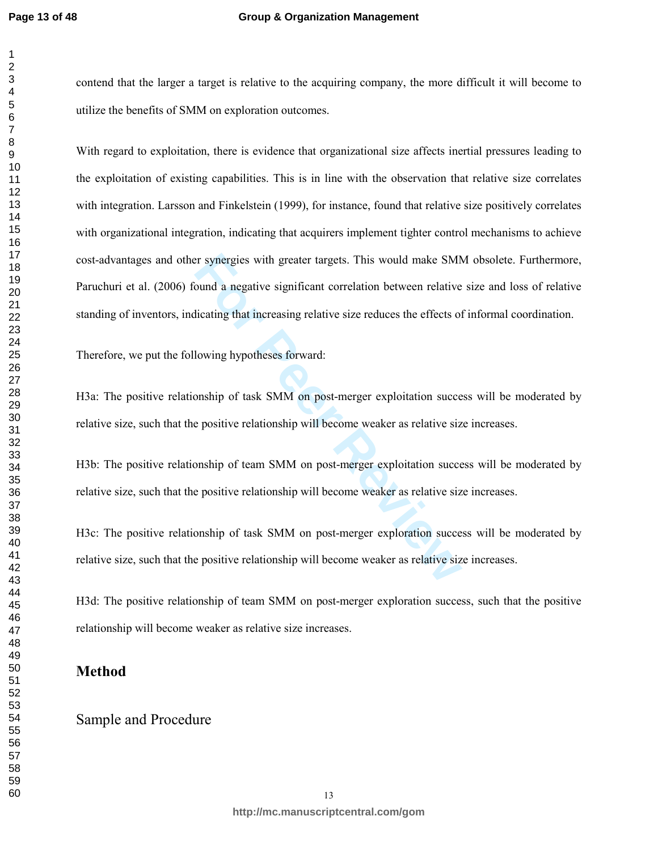#### **Group & Organization Management**

contend that the larger a target is relative to the acquiring company, the more difficult it will become to utilize the benefits of SMM on exploration outcomes.

For synergies with greater targets. This would make SMN<br>bund a negative significant correlation between relative<br>licating that increasing relative size reduces the effects of<br>lowing hypotheses forward:<br>onship of task SMM o With regard to exploitation, there is evidence that organizational size affects inertial pressures leading to the exploitation of existing capabilities. This is in line with the observation that relative size correlates with integration. Larsson and Finkelstein (1999), for instance, found that relative size positively correlates with organizational integration, indicating that acquirers implement tighter control mechanisms to achieve cost-advantages and other synergies with greater targets. This would make SMM obsolete. Furthermore, Paruchuri et al. (2006) found a negative significant correlation between relative size and loss of relative standing of inventors, indicating that increasing relative size reduces the effects of informal coordination.

Therefore, we put the following hypotheses forward:

H3a: The positive relationship of task SMM on post-merger exploitation success will be moderated by relative size, such that the positive relationship will become weaker as relative size increases.

H3b: The positive relationship of team SMM on post-merger exploitation success will be moderated by relative size, such that the positive relationship will become weaker as relative size increases.

H3c: The positive relationship of task SMM on post-merger exploration success will be moderated by relative size, such that the positive relationship will become weaker as relative size increases.

H3d: The positive relationship of team SMM on post-merger exploration success, such that the positive relationship will become weaker as relative size increases.

### **Method**

# Sample and Procedure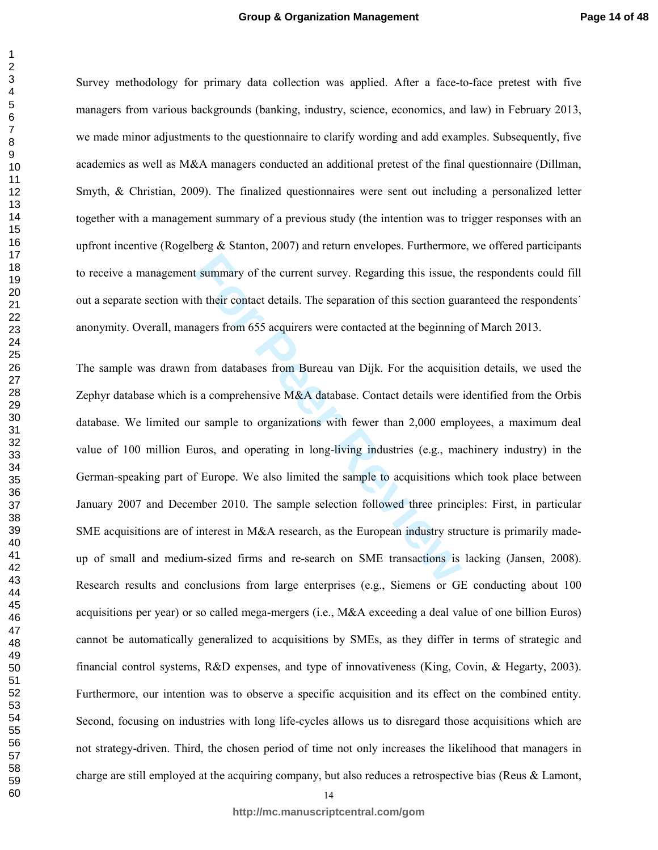Survey methodology for primary data collection was applied. After a face-to-face pretest with five managers from various backgrounds (banking, industry, science, economics, and law) in February 2013, we made minor adjustments to the questionnaire to clarify wording and add examples. Subsequently, five academics as well as M&A managers conducted an additional pretest of the final questionnaire (Dillman, Smyth, & Christian, 2009). The finalized questionnaires were sent out including a personalized letter together with a management summary of a previous study (the intention was to trigger responses with an upfront incentive (Rogelberg  $\&$  Stanton, 2007) and return envelopes. Furthermore, we offered participants to receive a management summary of the current survey. Regarding this issue, the respondents could fill out a separate section with their contact details. The separation of this section guaranteed the respondents´ anonymity. Overall, managers from 655 acquirers were contacted at the beginning of March 2013.

**Example 18 For PER Review CONCIL EXECUTE:** The separation of this section guaragers from 655 acquirers were contacted at the beginning agers from 655 acquirers were contacted at the beginning from databases from Bureau va The sample was drawn from databases from Bureau van Dijk. For the acquisition details, we used the Zephyr database which is a comprehensive M&A database. Contact details were identified from the Orbis database. We limited our sample to organizations with fewer than 2,000 employees, a maximum deal value of 100 million Euros, and operating in long-living industries (e.g., machinery industry) in the German-speaking part of Europe. We also limited the sample to acquisitions which took place between January 2007 and December 2010. The sample selection followed three principles: First, in particular SME acquisitions are of interest in M&A research, as the European industry structure is primarily madeup of small and medium-sized firms and re-search on SME transactions is lacking (Jansen, 2008). Research results and conclusions from large enterprises (e.g., Siemens or GE conducting about 100 acquisitions per year) or so called mega-mergers (i.e., M&A exceeding a deal value of one billion Euros) cannot be automatically generalized to acquisitions by SMEs, as they differ in terms of strategic and financial control systems, R&D expenses, and type of innovativeness (King, Covin, & Hegarty, 2003). Furthermore, our intention was to observe a specific acquisition and its effect on the combined entity. Second, focusing on industries with long life-cycles allows us to disregard those acquisitions which are not strategy-driven. Third, the chosen period of time not only increases the likelihood that managers in charge are still employed at the acquiring company, but also reduces a retrospective bias (Reus & Lamont,

**http://mc.manuscriptcentral.com/gom**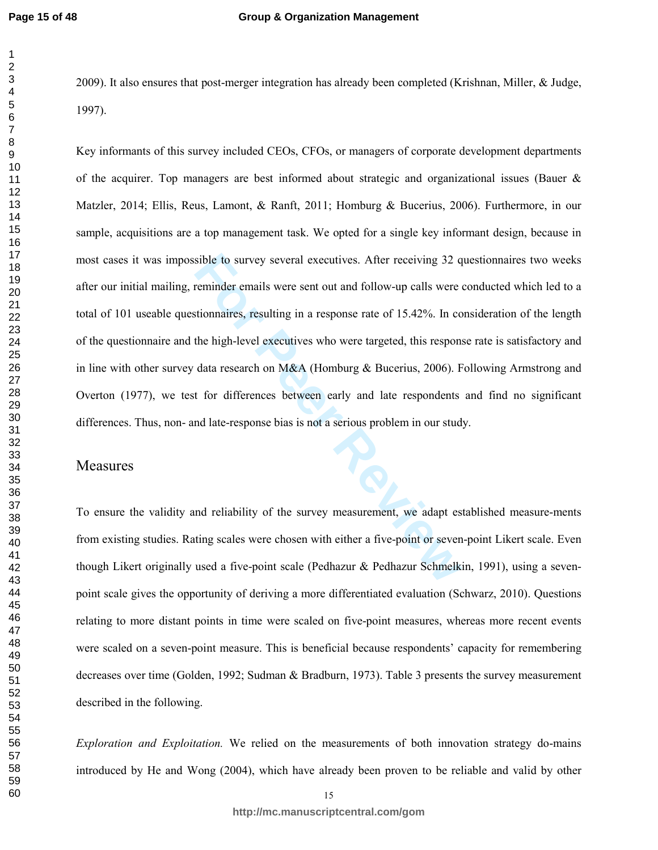2009). It also ensures that post-merger integration has already been completed (Krishnan, Miller, & Judge, 1997).

sible to survey several executives. After receiving 32 q<br>terminder emails were sent out and follow-up calls were extionnaires, resulting in a response rate of 15.42%. In co<br>the high-level executives who were targeted, this Key informants of this survey included CEOs, CFOs, or managers of corporate development departments of the acquirer. Top managers are best informed about strategic and organizational issues (Bauer & Matzler, 2014; Ellis, Reus, Lamont, & Ranft, 2011; Homburg & Bucerius, 2006). Furthermore, in our sample, acquisitions are a top management task. We opted for a single key informant design, because in most cases it was impossible to survey several executives. After receiving 32 questionnaires two weeks after our initial mailing, reminder emails were sent out and follow-up calls were conducted which led to a total of 101 useable questionnaires, resulting in a response rate of 15.42%. In consideration of the length of the questionnaire and the high-level executives who were targeted, this response rate is satisfactory and in line with other survey data research on M&A (Homburg & Bucerius, 2006). Following Armstrong and Overton (1977), we test for differences between early and late respondents and find no significant differences. Thus, non- and late-response bias is not a serious problem in our study.

# Measures

To ensure the validity and reliability of the survey measurement, we adapt established measure-ments from existing studies. Rating scales were chosen with either a five-point or seven-point Likert scale. Even though Likert originally used a five-point scale (Pedhazur & Pedhazur Schmelkin, 1991), using a sevenpoint scale gives the opportunity of deriving a more differentiated evaluation (Schwarz, 2010). Questions relating to more distant points in time were scaled on five-point measures, whereas more recent events were scaled on a seven-point measure. This is beneficial because respondents' capacity for remembering decreases over time (Golden, 1992; Sudman & Bradburn, 1973). Table 3 presents the survey measurement described in the following.

*Exploration and Exploitation.* We relied on the measurements of both innovation strategy do-mains introduced by He and Wong (2004), which have already been proven to be reliable and valid by other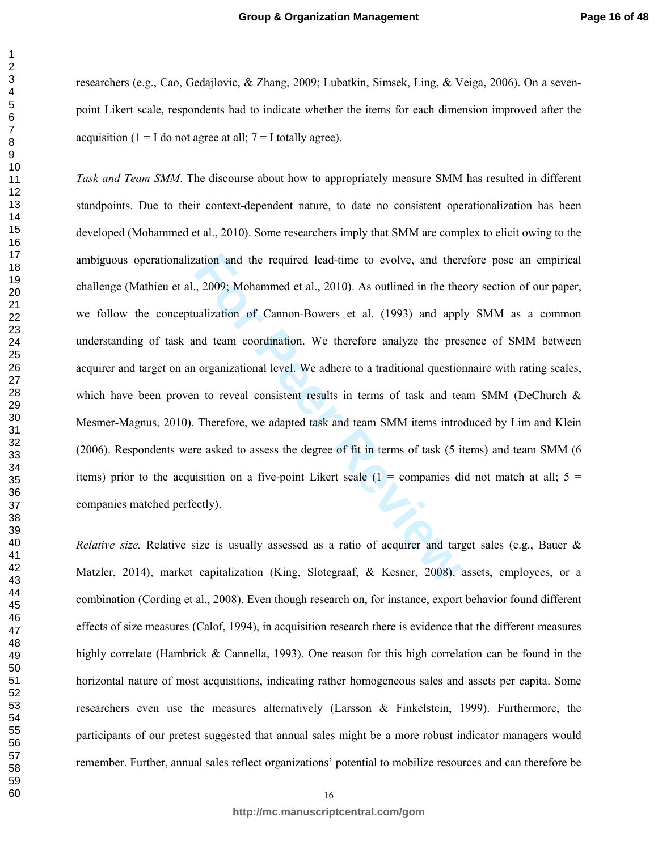researchers (e.g., Cao, Gedajlovic, & Zhang, 2009; Lubatkin, Simsek, Ling, & Veiga, 2006). On a sevenpoint Likert scale, respondents had to indicate whether the items for each dimension improved after the acquisition ( $1 = I$  do not agree at all;  $7 = I$  totally agree).

ration and the required lead-time to evolve, and then<br>
1, 2009; Mohammed et al., 2010). As outlined in the the<br>
ualization of Cannon-Bowers et al. (1993) and appl<br>
und team coordination. We therefore analyze the pres<br>
orga *Task and Team SMM*. The discourse about how to appropriately measure SMM has resulted in different standpoints. Due to their context-dependent nature, to date no consistent operationalization has been developed (Mohammed et al., 2010). Some researchers imply that SMM are complex to elicit owing to the ambiguous operationalization and the required lead-time to evolve, and therefore pose an empirical challenge (Mathieu et al., 2009; Mohammed et al., 2010). As outlined in the theory section of our paper, we follow the conceptualization of Cannon-Bowers et al. (1993) and apply SMM as a common understanding of task and team coordination. We therefore analyze the presence of SMM between acquirer and target on an organizational level. We adhere to a traditional questionnaire with rating scales, which have been proven to reveal consistent results in terms of task and team SMM (DeChurch & Mesmer-Magnus, 2010). Therefore, we adapted task and team SMM items introduced by Lim and Klein (2006). Respondents were asked to assess the degree of fit in terms of task (5 items) and team SMM (6 items) prior to the acquisition on a five-point Likert scale  $(1 =$  companies did not match at all;  $5 =$ companies matched perfectly).

*Relative size.* Relative size is usually assessed as a ratio of acquirer and target sales (e.g., Bauer & Matzler, 2014), market capitalization (King, Slotegraaf, & Kesner, 2008), assets, employees, or a combination (Cording et al., 2008). Even though research on, for instance, export behavior found different effects of size measures (Calof, 1994), in acquisition research there is evidence that the different measures highly correlate (Hambrick & Cannella, 1993). One reason for this high correlation can be found in the horizontal nature of most acquisitions, indicating rather homogeneous sales and assets per capita. Some researchers even use the measures alternatively (Larsson & Finkelstein, 1999). Furthermore, the participants of our pretest suggested that annual sales might be a more robust indicator managers would remember. Further, annual sales reflect organizations' potential to mobilize resources and can therefore be

 $\mathbf{1}$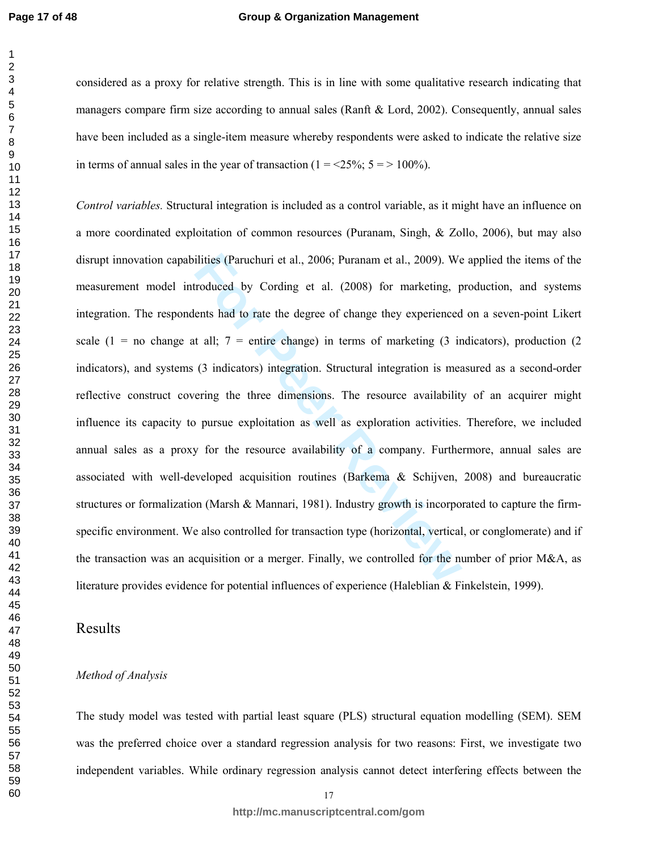#### **Group & Organization Management**

considered as a proxy for relative strength. This is in line with some qualitative research indicating that managers compare firm size according to annual sales (Ranft & Lord, 2002). Consequently, annual sales have been included as a single-item measure whereby respondents were asked to indicate the relative size in terms of annual sales in the year of transaction ( $1 = 25\%$ ;  $5 = 100\%$ ).

ilities (Paruchuri et al., 2006; Puranam et al., 2009). We<br> **Froduced by Cording et al.** (2008) for marketing, p<br> **For Perroduced by Cording et al.** (2008) for marketing, p<br> **For Perroduced to The Example Peer Cording CEA** *Control variables.* Structural integration is included as a control variable, as it might have an influence on a more coordinated exploitation of common resources (Puranam, Singh, & Zollo, 2006), but may also disrupt innovation capabilities (Paruchuri et al., 2006; Puranam et al., 2009). We applied the items of the measurement model introduced by Cording et al. (2008) for marketing, production, and systems integration. The respondents had to rate the degree of change they experienced on a seven-point Likert scale (1 = no change at all; = entire change) in terms of marketing (3 indicators), production (2 indicators), and systems (3 indicators) integration. Structural integration is measured as a second-order reflective construct covering the three dimensions. The resource availability of an acquirer might influence its capacity to pursue exploitation as well as exploration activities. Therefore, we included annual sales as a proxy for the resource availability of a company. Furthermore, annual sales are associated with well-developed acquisition routines (Barkema & Schijven, 2008) and bureaucratic structures or formalization (Marsh & Mannari, 1981). Industry growth is incorporated to capture the firmspecific environment. We also controlled for transaction type (horizontal, vertical, or conglomerate) and if the transaction was an acquisition or a merger. Finally, we controlled for the number of prior M&A, as literature provides evidence for potential influences of experience (Haleblian & Finkelstein, 1999).

#### Results

#### *Method of Analysis*

The study model was tested with partial least square (PLS) structural equation modelling (SEM). SEM was the preferred choice over a standard regression analysis for two reasons: First, we investigate two independent variables. While ordinary regression analysis cannot detect interfering effects between the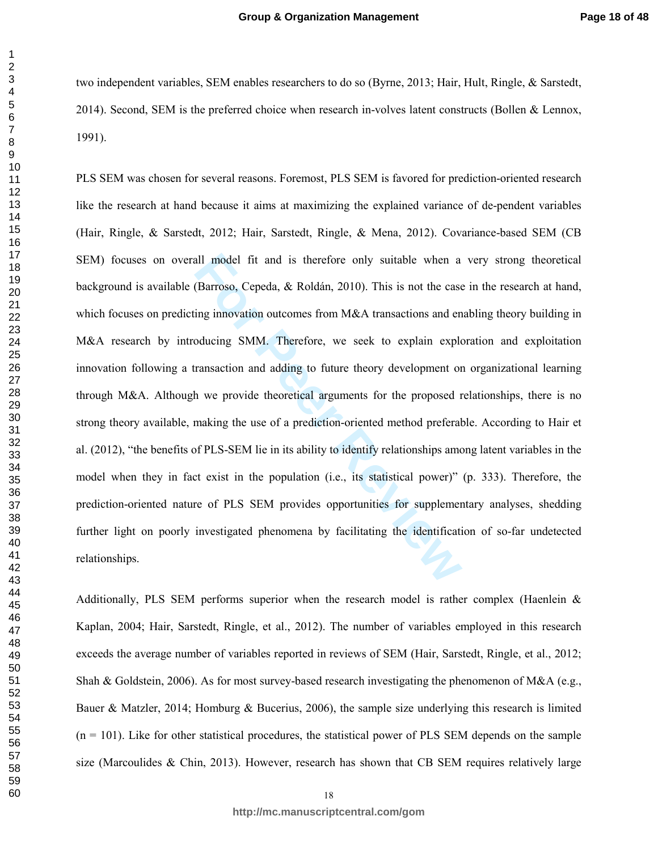two independent variables, SEM enables researchers to do so (Byrne, 2013; Hair, Hult, Ringle, & Sarstedt, 2014). Second, SEM is the preferred choice when research in-volves latent constructs (Bollen & Lennox, 1991).

all model fit and is therefore only suitable when a<br>(Barroso, Cepeda, & Roldán, 2010). This is not the case<br>ing innovation outcomes from M&A transactions and en<br>oducing SMM. Therefore, we seek to explain explore<br>ransaction PLS SEM was chosen for several reasons. Foremost, PLS SEM is favored for prediction-oriented research like the research at hand because it aims at maximizing the explained variance of de-pendent variables (Hair, Ringle, & Sarstedt, 2012; Hair, Sarstedt, Ringle, & Mena, 2012). Covariance-based SEM (CB SEM) focuses on overall model fit and is therefore only suitable when a very strong theoretical background is available (Barroso, Cepeda, & Roldán, 2010). This is not the case in the research at hand, which focuses on predicting innovation outcomes from M&A transactions and enabling theory building in M&A research by introducing SMM. Therefore, we seek to explain exploration and exploitation innovation following a transaction and adding to future theory development on organizational learning through M&A. Although we provide theoretical arguments for the proposed relationships, there is no strong theory available, making the use of a prediction-oriented method preferable. According to Hair et al. (2012), "the benefits of PLS-SEM lie in its ability to identify relationships among latent variables in the model when they in fact exist in the population (i.e., its statistical power)" (p. 333). Therefore, the prediction-oriented nature of PLS SEM provides opportunities for supplementary analyses, shedding further light on poorly investigated phenomena by facilitating the identification of so-far undetected relationships.

Additionally, PLS SEM performs superior when the research model is rather complex (Haenlein & Kaplan, 2004; Hair, Sarstedt, Ringle, et al., 2012). The number of variables employed in this research exceeds the average number of variables reported in reviews of SEM (Hair, Sarstedt, Ringle, et al., 2012; Shah & Goldstein, 2006). As for most survey-based research investigating the phenomenon of M&A (e.g., Bauer & Matzler, 2014; Homburg & Bucerius, 2006), the sample size underlying this research is limited  $(n = 101)$ . Like for other statistical procedures, the statistical power of PLS SEM depends on the sample size (Marcoulides  $\&$  Chin, 2013). However, research has shown that CB SEM requires relatively large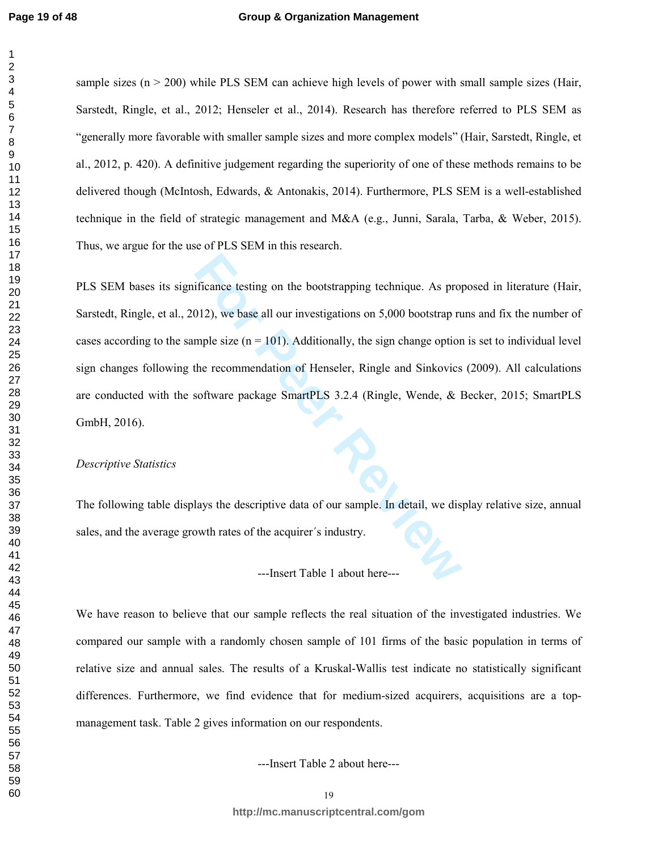#### **Group & Organization Management**

sample sizes  $(n > 200)$  while PLS SEM can achieve high levels of power with small sample sizes (Hair, Sarstedt, Ringle, et al., 2012; Henseler et al., 2014). Research has therefore referred to PLS SEM as "generally more favorable with smaller sample sizes and more complex models" (Hair, Sarstedt, Ringle, et al., 2012, p. 420). A definitive judgement regarding the superiority of one of these methods remains to be delivered though (McIntosh, Edwards, & Antonakis, 2014). Furthermore, PLS SEM is a well-established technique in the field of strategic management and M&A (e.g., Junni, Sarala, Tarba, & Weber, 2015). Thus, we argue for the use of PLS SEM in this research.

Ficance testing on the bootstrapping technique. As proposition<br>
1012), we base all our investigations on 5,000 bootstrap rumple size  $(n = 101)$ . Additionally, the sign change option<br>
the recommendation of Henseler, Ringle PLS SEM bases its significance testing on the bootstrapping technique. As proposed in literature (Hair, Sarstedt, Ringle, et al., 2012), we base all our investigations on 5,000 bootstrap runs and fix the number of cases according to the sample size  $(n = 101)$ . Additionally, the sign change option is set to individual level sign changes following the recommendation of Henseler, Ringle and Sinkovics (2009). All calculations are conducted with the software package SmartPLS 3.2.4 (Ringle, Wende, & Becker, 2015; SmartPLS GmbH, 2016).

#### *Descriptive Statistics*

The following table displays the descriptive data of our sample. In detail, we display relative size, annual sales, and the average growth rates of the acquirer´s industry.

#### ---Insert Table 1 about here---

We have reason to believe that our sample reflects the real situation of the investigated industries. We compared our sample with a randomly chosen sample of 101 firms of the basic population in terms of relative size and annual sales. The results of a Kruskal-Wallis test indicate no statistically significant differences. Furthermore, we find evidence that for medium-sized acquirers, acquisitions are a topmanagement task. Table 2 gives information on our respondents.

---Insert Table 2 about here---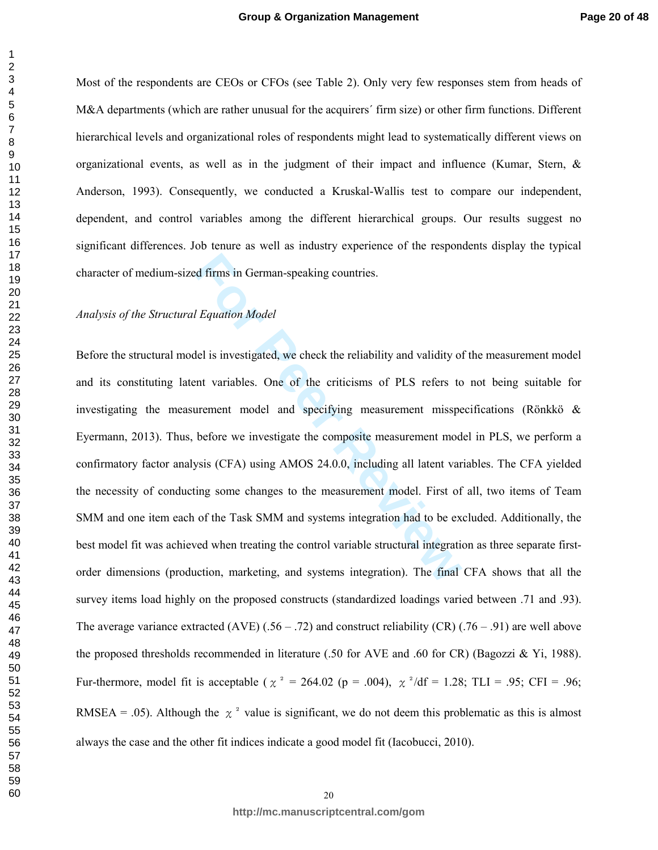Most of the respondents are CEOs or CFOs (see Table 2). Only very few responses stem from heads of M&A departments (which are rather unusual for the acquirers' firm size) or other firm functions. Different hierarchical levels and organizational roles of respondents might lead to systematically different views on organizational events, as well as in the judgment of their impact and influence (Kumar, Stern, & Anderson, 1993). Consequently, we conducted a Kruskal-Wallis test to compare our independent, dependent, and control variables among the different hierarchical groups. Our results suggest no significant differences. Job tenure as well as industry experience of the respondents display the typical character of medium-sized firms in German-speaking countries.

#### *Analysis of the Structural Equation Model*

readed firms in German-speaking countries.<br> *Fouation Model*<br>
del is investigated, we check the reliability and validity of<br>
ent variables. One of the criticisms of PLS refers to<br>
urement model and specifying measurement m Before the structural model is investigated, we check the reliability and validity of the measurement model and its constituting latent variables. One of the criticisms of PLS refers to not being suitable for investigating the measurement model and specifying measurement misspecifications (Rönkkö & Eyermann, 2013). Thus, before we investigate the composite measurement model in PLS, we perform a confirmatory factor analysis (CFA) using AMOS 24.0.0, including all latent variables. The CFA yielded the necessity of conducting some changes to the measurement model. First of all, two items of Team SMM and one item each of the Task SMM and systems integration had to be excluded. Additionally, the best model fit was achieved when treating the control variable structural integration as three separate firstorder dimensions (production, marketing, and systems integration). The final CFA shows that all the survey items load highly on the proposed constructs (standardized loadings varied between .71 and .93). The average variance extracted (AVE) (.56 – .72) and construct reliability (CR) (.76 – .91) are well above the proposed thresholds recommended in literature (.50 for AVE and .60 for CR) (Bagozzi & Yi, 1988). Fur-thermore, model fit is acceptable ( $\chi^2 = 264.02$  (p = .004),  $\chi^2/df = 1.28$ ; TLI = .95; CFI = .96; RMSEA = .05). Although the  $\chi^2$  value is significant, we do not deem this problematic as this is almost always the case and the other fit indices indicate a good model fit (Iacobucci, 2010).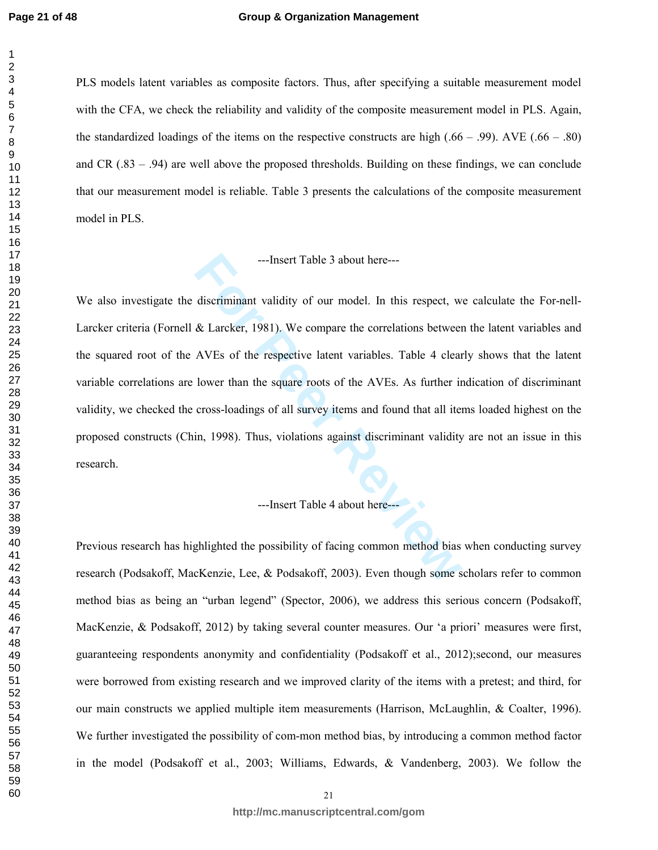#### **Group & Organization Management**

PLS models latent variables as composite factors. Thus, after specifying a suitable measurement model with the CFA, we check the reliability and validity of the composite measurement model in PLS. Again, the standardized loadings of the items on the respective constructs are high  $(.66 - .99)$ . AVE  $(.66 - .80)$ and CR (.83 – .94) are well above the proposed thresholds. Building on these findings, we can conclude that our measurement model is reliable. Table 3 presents the calculations of the composite measurement model in PLS.

# ---Insert Table 3 about here---

---Insert Table 3 about here---<br>discriminant validity of our model. In this respect, w<br>& Larcker, 1981). We compare the correlations between<br>AVEs of the respective latent variables. Table 4 clear<br>lower than the square root We also investigate the discriminant validity of our model. In this respect, we calculate the For-nell-Larcker criteria (Fornell & Larcker, 1981). We compare the correlations between the latent variables and the squared root of the AVEs of the respective latent variables. Table 4 clearly shows that the latent variable correlations are lower than the square roots of the AVEs. As further indication of discriminant validity, we checked the cross-loadings of all survey items and found that all items loaded highest on the proposed constructs (Chin, 1998). Thus, violations against discriminant validity are not an issue in this research.

#### ---Insert Table 4 about here---

Previous research has highlighted the possibility of facing common method bias when conducting survey research (Podsakoff, MacKenzie, Lee, & Podsakoff, 2003). Even though some scholars refer to common method bias as being an "urban legend" (Spector, 2006), we address this serious concern (Podsakoff, MacKenzie, & Podsakoff, 2012) by taking several counter measures. Our 'a priori' measures were first, guaranteeing respondents anonymity and confidentiality (Podsakoff et al., 2012);second, our measures were borrowed from existing research and we improved clarity of the items with a pretest; and third, for our main constructs we applied multiple item measurements (Harrison, McLaughlin, & Coalter, 1996). We further investigated the possibility of com-mon method bias, by introducing a common method factor in the model (Podsakoff et al., 2003; Williams, Edwards, & Vandenberg, 2003). We follow the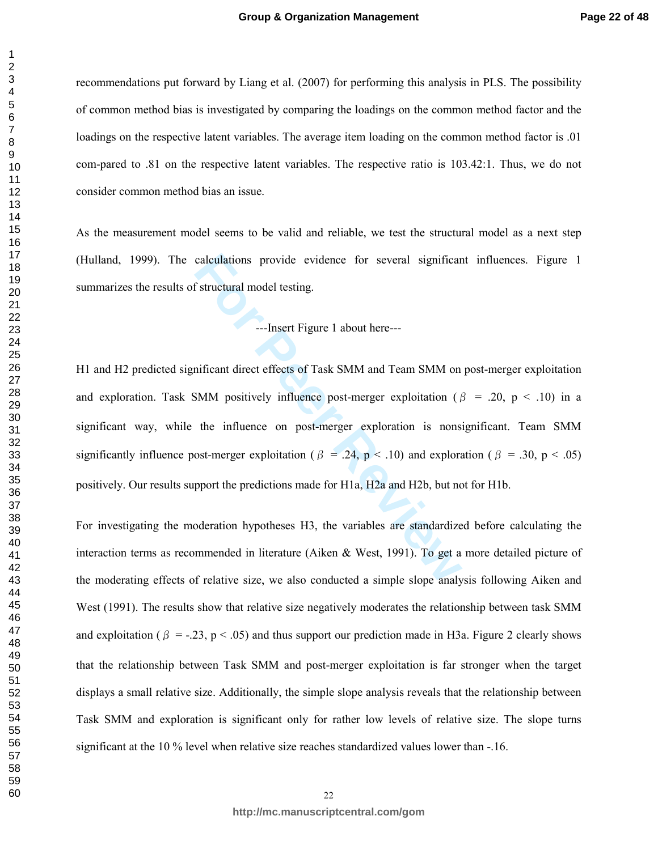recommendations put forward by Liang et al. (2007) for performing this analysis in PLS. The possibility of common method bias is investigated by comparing the loadings on the common method factor and the loadings on the respective latent variables. The average item loading on the common method factor is .01 com-pared to .81 on the respective latent variables. The respective ratio is 103.42:1. Thus, we do not consider common method bias an issue.

As the measurement model seems to be valid and reliable, we test the structural model as a next step (Hulland, 1999). The calculations provide evidence for several significant influences. Figure 1 summarizes the results of structural model testing.

---Insert Figure 1 about here---

calculations provide evidence for several significar<br> **Formal Exercity 1** about here—<br> **Formal Exercity Exercity 1** about here—<br> **Formal Exercity Exercity and Team SMM** on<br> **SMM** positively influence post-merger exploitat H1 and H2 predicted significant direct effects of Task SMM and Team SMM on post-merger exploitation and exploration. Task SMM positively influence post-merger exploitation ( $\beta$  = .20, p < .10) in a significant way, while the influence on post-merger exploration is nonsignificant. Team SMM significantly influence post-merger exploitation ( $\beta = .24$ ,  $p < .10$ ) and exploration ( $\beta = .30$ ,  $p < .05$ ) positively. Our results support the predictions made for H1a, H2a and H2b, but not for H1b.

For investigating the moderation hypotheses H3, the variables are standardized before calculating the interaction terms as recommended in literature (Aiken & West, 1991). To get a more detailed picture of the moderating effects of relative size, we also conducted a simple slope analysis following Aiken and West (1991). The results show that relative size negatively moderates the relationship between task SMM and exploitation ( $\beta = -0.23$ ,  $p < 0.05$ ) and thus support our prediction made in H3a. Figure 2 clearly shows that the relationship between Task SMM and post-merger exploitation is far stronger when the target displays a small relative size. Additionally, the simple slope analysis reveals that the relationship between Task SMM and exploration is significant only for rather low levels of relative size. The slope turns significant at the  $10\%$  level when relative size reaches standardized values lower than  $-16$ .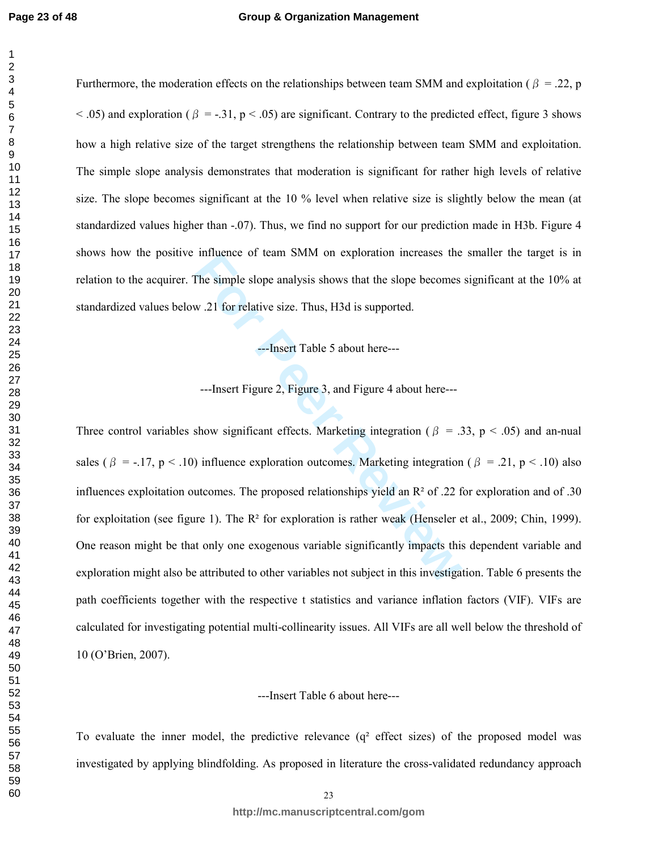Furthermore, the moderation effects on the relationships between team SMM and exploitation ( $\beta = 0.22$ , p  $<$  .05) and exploration ( $\beta = -0.31$ ,  $p < 0.05$ ) are significant. Contrary to the predicted effect, figure 3 shows how a high relative size of the target strengthens the relationship between team SMM and exploitation. The simple slope analysis demonstrates that moderation is significant for rather high levels of relative size. The slope becomes significant at the 10 % level when relative size is slightly below the mean (at standardized values higher than -.07). Thus, we find no support for our prediction made in H3b. Figure 4 shows how the positive influence of team SMM on exploration increases the smaller the target is in relation to the acquirer. The simple slope analysis shows that the slope becomes significant at the 10% at standardized values below .21 for relative size. Thus, H3d is supported.

---Insert Table 5 about here---

---Insert Figure 2, Figure 3, and Figure 4 about here---

The simple slope analysis shows that the slope becomes<br>
21 for relative size. Thus, H3d is supported.<br>
--Insert Table 5 about here----<br>
--Insert Figure 2, Figure 3, and Figure 4 about here----<br>
--Insert Figure 2, Figure 3 Three control variables show significant effects. Marketing integration ( $\beta$  = .33, p < .05) and an-nual sales ( $\beta$  = -.17, p < .10) influence exploration outcomes. Marketing integration ( $\beta$  = .21, p < .10) also influences exploitation outcomes. The proposed relationships yield an  $\mathbb{R}^2$  of .22 for exploration and of .30 for exploitation (see figure 1). The R² for exploration is rather weak (Henseler et al., 2009; Chin, 1999). One reason might be that only one exogenous variable significantly impacts this dependent variable and exploration might also be attributed to other variables not subject in this investigation. Table 6 presents the path coefficients together with the respective t statistics and variance inflation factors (VIF). VIFs are calculated for investigating potential multi-collinearity issues. All VIFs are all well below the threshold of 10 (O'Brien, 2007).

---Insert Table 6 about here---

To evaluate the inner model, the predictive relevance  $(q^2)$  effect sizes) of the proposed model was investigated by applying blindfolding. As proposed in literature the cross-validated redundancy approach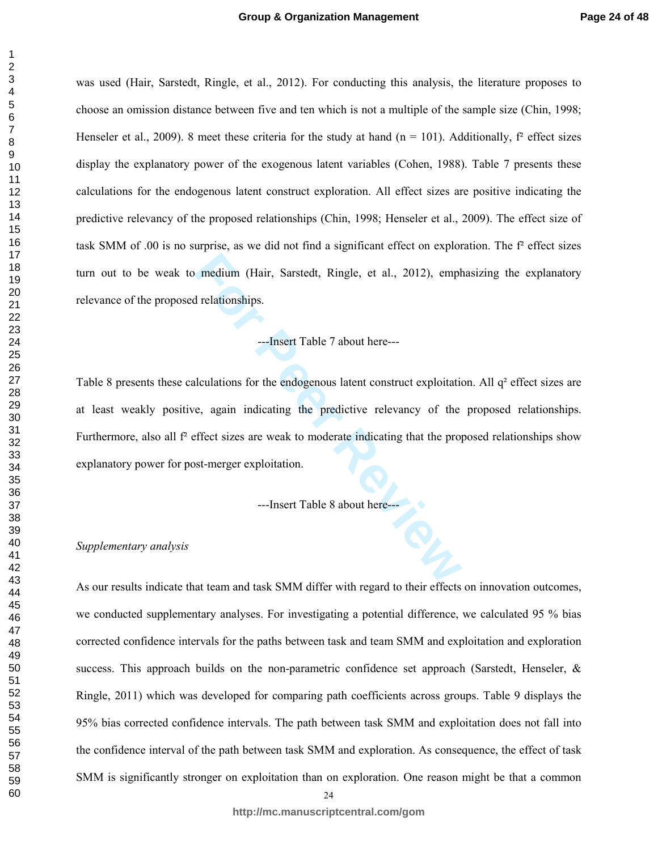was used (Hair, Sarstedt, Ringle, et al., 2012). For conducting this analysis, the literature proposes to choose an omission distance between five and ten which is not a multiple of the sample size (Chin, 1998; Henseler et al., 2009). 8 meet these criteria for the study at hand ( $n = 101$ ). Additionally,  $f^2$  effect sizes display the explanatory power of the exogenous latent variables (Cohen, 1988). Table 7 presents these calculations for the endogenous latent construct exploration. All effect sizes are positive indicating the predictive relevancy of the proposed relationships (Chin, 1998; Henseler et al., 2009). The effect size of task SMM of .00 is no surprise, as we did not find a significant effect on exploration. The f² effect sizes turn out to be weak to medium (Hair, Sarstedt, Ringle, et al., 2012), emphasizing the explanatory relevance of the proposed relationships.

#### ---Insert Table 7 about here---

medium (Hair, Sarstedt, Ringle, et al., 2012), empt<br>
directionships.<br>
--Insert Table 7 about here----<br>
liculations for the endogenous latent construct exploitation<br>
e, again indicating the predictive relevancy of the<br>
effe Table 8 presents these calculations for the endogenous latent construct exploitation. All q<sup>2</sup> effect sizes are at least weakly positive, again indicating the predictive relevancy of the proposed relationships. Furthermore, also all  $f<sup>2</sup>$  effect sizes are weak to moderate indicating that the proposed relationships show explanatory power for post-merger exploitation.

---Insert Table 8 about here---

#### *Supplementary analysis*

As our results indicate that team and task SMM differ with regard to their effects on innovation outcomes, we conducted supplementary analyses. For investigating a potential difference, we calculated 95 % bias corrected confidence intervals for the paths between task and team SMM and exploitation and exploration success. This approach builds on the non-parametric confidence set approach (Sarstedt, Henseler,  $\&$ Ringle, 2011) which was developed for comparing path coefficients across groups. Table 9 displays the 95% bias corrected confidence intervals. The path between task SMM and exploitation does not fall into the confidence interval of the path between task SMM and exploration. As consequence, the effect of task SMM is significantly stronger on exploitation than on exploration. One reason might be that a common

 **http://mc.manuscriptcentral.com/gom**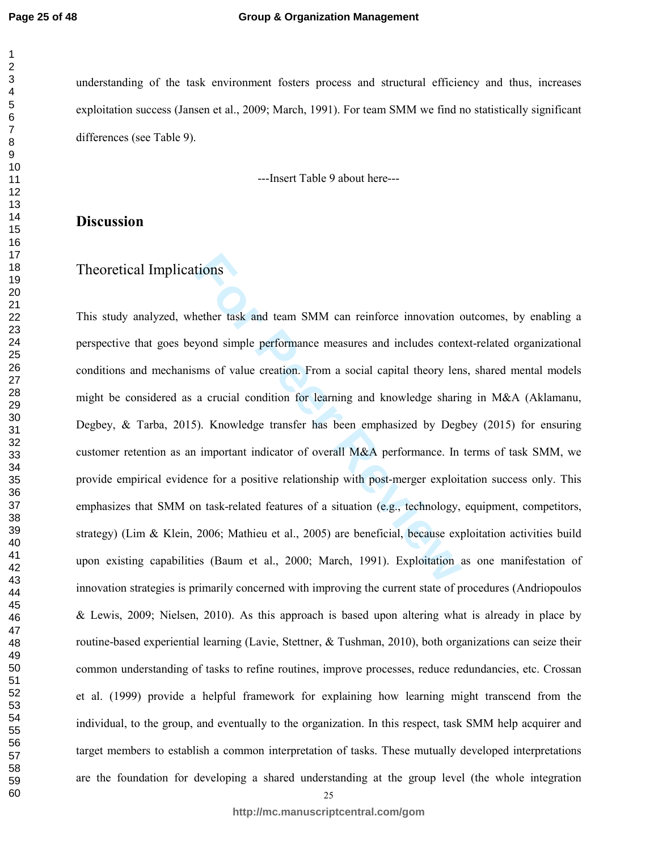**Page 25 of 48**

#### **Group & Organization Management**

understanding of the task environment fosters process and structural efficiency and thus, increases exploitation success (Jansen et al., 2009; March, 1991). For team SMM we find no statistically significant differences (see Table 9).

---Insert Table 9 about here---

# **Discussion**

# Theoretical Implications

tions<br> **Formular Exercise SMM can reinforce innovation** cyond simple performance measures and includes conte<br> **Formular SMM can reinforce innovation** commens of value creation. From a social capital theory len<br> **Formular a** This study analyzed, whether task and team SMM can reinforce innovation outcomes, by enabling a perspective that goes beyond simple performance measures and includes context-related organizational conditions and mechanisms of value creation. From a social capital theory lens, shared mental models might be considered as a crucial condition for learning and knowledge sharing in M&A (Aklamanu, Degbey, & Tarba, 2015). Knowledge transfer has been emphasized by Degbey (2015) for ensuring customer retention as an important indicator of overall M&A performance. In terms of task SMM, we provide empirical evidence for a positive relationship with post-merger exploitation success only. This emphasizes that SMM on task-related features of a situation (e.g., technology, equipment, competitors, strategy) (Lim & Klein, 2006; Mathieu et al., 2005) are beneficial, because exploitation activities build upon existing capabilities (Baum et al., 2000; March, 1991). Exploitation as one manifestation of innovation strategies is primarily concerned with improving the current state of procedures (Andriopoulos & Lewis, 2009; Nielsen, 2010). As this approach is based upon altering what is already in place by routine-based experiential learning (Lavie, Stettner, & Tushman, 2010), both organizations can seize their common understanding of tasks to refine routines, improve processes, reduce redundancies, etc. Crossan et al. (1999) provide a helpful framework for explaining how learning might transcend from the individual, to the group, and eventually to the organization. In this respect, task SMM help acquirer and target members to establish a common interpretation of tasks. These mutually developed interpretations are the foundation for developing a shared understanding at the group level (the whole integration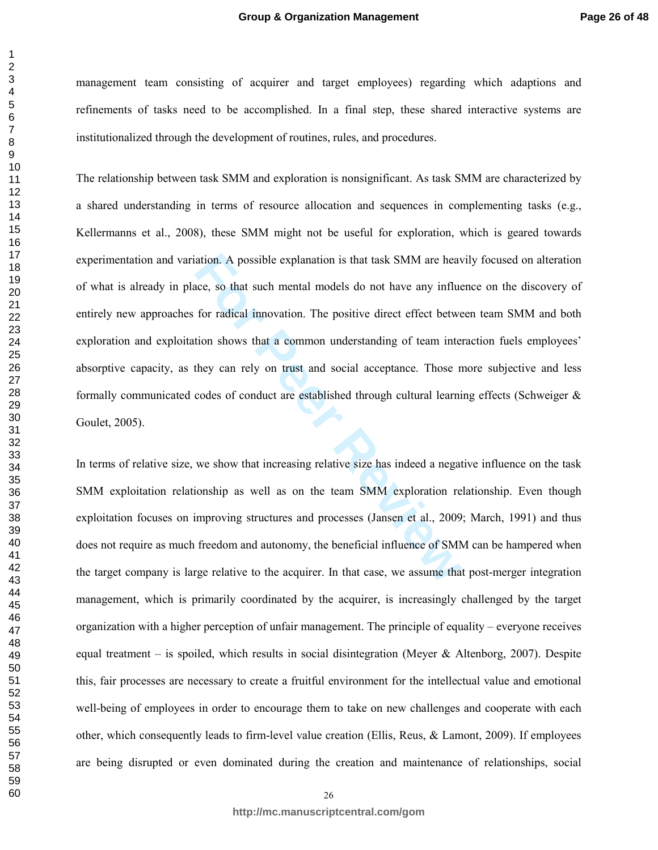management team consisting of acquirer and target employees) regarding which adaptions and refinements of tasks need to be accomplished. In a final step, these shared interactive systems are institutionalized through the development of routines, rules, and procedures.

ation. A possible explanation is that task SMM are heave, so that such mental models do not have any influe for radical innovation. The positive direct effect betwe tion shows that a common understanding of team interthey The relationship between task SMM and exploration is nonsignificant. As task SMM are characterized by a shared understanding in terms of resource allocation and sequences in complementing tasks (e.g., Kellermanns et al., 2008), these SMM might not be useful for exploration, which is geared towards experimentation and variation. A possible explanation is that task SMM are heavily focused on alteration of what is already in place, so that such mental models do not have any influence on the discovery of entirely new approaches for radical innovation. The positive direct effect between team SMM and both exploration and exploitation shows that a common understanding of team interaction fuels employees' absorptive capacity, as they can rely on trust and social acceptance. Those more subjective and less formally communicated codes of conduct are established through cultural learning effects (Schweiger & Goulet, 2005).

In terms of relative size, we show that increasing relative size has indeed a negative influence on the task SMM exploitation relationship as well as on the team SMM exploration relationship. Even though exploitation focuses on improving structures and processes (Jansen et al., 2009; March, 1991) and thus does not require as much freedom and autonomy, the beneficial influence of SMM can be hampered when the target company is large relative to the acquirer. In that case, we assume that post-merger integration management, which is primarily coordinated by the acquirer, is increasingly challenged by the target organization with a higher perception of unfair management. The principle of equality – everyone receives equal treatment – is spoiled, which results in social disintegration (Meyer & Altenborg, 2007). Despite this, fair processes are necessary to create a fruitful environment for the intellectual value and emotional well-being of employees in order to encourage them to take on new challenges and cooperate with each other, which consequently leads to firm-level value creation (Ellis, Reus, & Lamont, 2009). If employees are being disrupted or even dominated during the creation and maintenance of relationships, social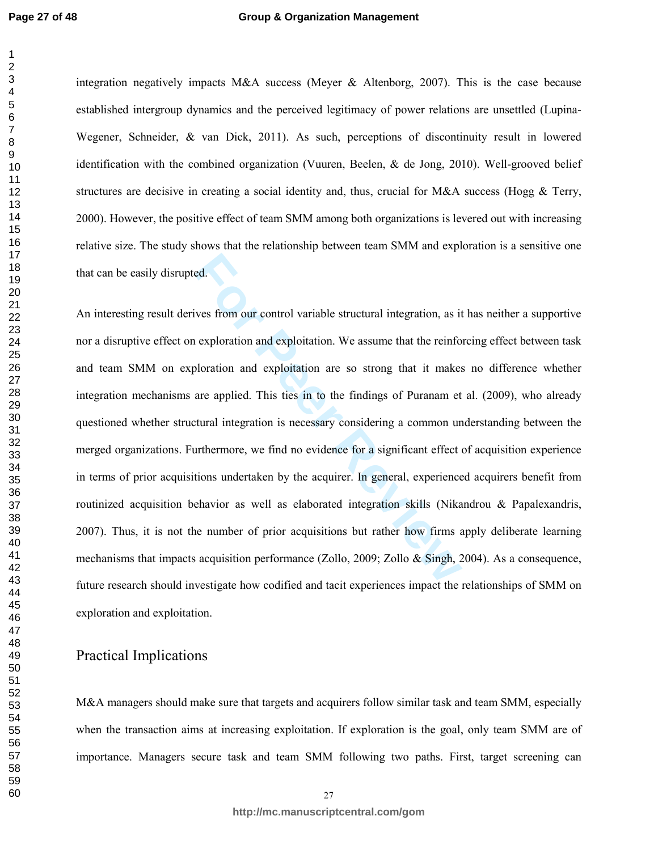#### **Group & Organization Management**

integration negatively impacts M&A success (Meyer & Altenborg, 2007). This is the case because established intergroup dynamics and the perceived legitimacy of power relations are unsettled (Lupina-Wegener, Schneider, & van Dick, 2011). As such, perceptions of discontinuity result in lowered identification with the combined organization (Vuuren, Beelen, & de Jong, 2010). Well-grooved belief structures are decisive in creating a social identity and, thus, crucial for  $M&A$  success (Hogg  $&$  Terry, 2000). However, the positive effect of team SMM among both organizations is levered out with increasing relative size. The study shows that the relationship between team SMM and exploration is a sensitive one that can be easily disrupted.

readed.<br> **For Peer Total System Started Exercises the set of the set of the set of the set of the set of the set of plottation and exploitation are so strong that it makes<br>
are applied. This ties in to the findings of Pura** An interesting result derives from our control variable structural integration, as it has neither a supportive nor a disruptive effect on exploration and exploitation. We assume that the reinforcing effect between task and team SMM on exploration and exploitation are so strong that it makes no difference whether integration mechanisms are applied. This ties in to the findings of Puranam et al. (2009), who already questioned whether structural integration is necessary considering a common understanding between the merged organizations. Furthermore, we find no evidence for a significant effect of acquisition experience in terms of prior acquisitions undertaken by the acquirer. In general, experienced acquirers benefit from routinized acquisition behavior as well as elaborated integration skills (Nikandrou & Papalexandris, 2007). Thus, it is not the number of prior acquisitions but rather how firms apply deliberate learning mechanisms that impacts acquisition performance (Zollo, 2009; Zollo & Singh, 2004). As a consequence, future research should investigate how codified and tacit experiences impact the relationships of SMM on exploration and exploitation.

# Practical Implications

M&A managers should make sure that targets and acquirers follow similar task and team SMM, especially when the transaction aims at increasing exploitation. If exploration is the goal, only team SMM are of importance. Managers secure task and team SMM following two paths. First, target screening can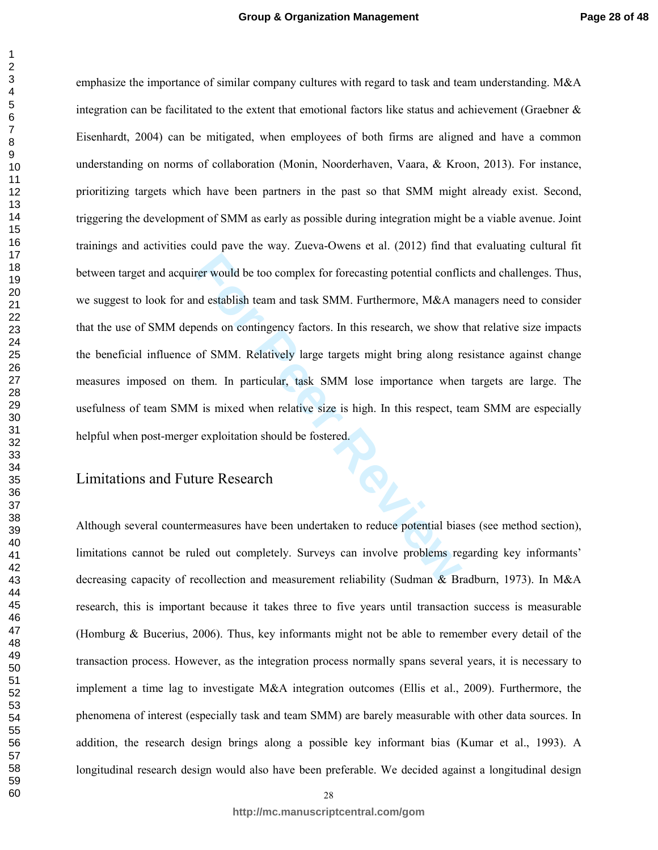For would be too complex for forecasting potential conflined establish team and task SMM. Furthermore, M&A mends on contingency factors. In this research, we show of SMM. Relatively large targets might bring along relation emphasize the importance of similar company cultures with regard to task and team understanding. M&A integration can be facilitated to the extent that emotional factors like status and achievement (Graebner  $\&$ Eisenhardt, 2004) can be mitigated, when employees of both firms are aligned and have a common understanding on norms of collaboration (Monin, Noorderhaven, Vaara, & Kroon, 2013). For instance, prioritizing targets which have been partners in the past so that SMM might already exist. Second, triggering the development of SMM as early as possible during integration might be a viable avenue. Joint trainings and activities could pave the way. Zueva-Owens et al. (2012) find that evaluating cultural fit between target and acquirer would be too complex for forecasting potential conflicts and challenges. Thus, we suggest to look for and establish team and task SMM. Furthermore, M&A managers need to consider that the use of SMM depends on contingency factors. In this research, we show that relative size impacts the beneficial influence of SMM. Relatively large targets might bring along resistance against change measures imposed on them. In particular, task SMM lose importance when targets are large. The usefulness of team SMM is mixed when relative size is high. In this respect, team SMM are especially helpful when post-merger exploitation should be fostered.

# Limitations and Future Research

Although several countermeasures have been undertaken to reduce potential biases (see method section), limitations cannot be ruled out completely. Surveys can involve problems regarding key informants' decreasing capacity of recollection and measurement reliability (Sudman & Bradburn, 1973). In M&A research, this is important because it takes three to five years until transaction success is measurable (Homburg & Bucerius, 2006). Thus, key informants might not be able to remember every detail of the transaction process. However, as the integration process normally spans several years, it is necessary to implement a time lag to investigate M&A integration outcomes (Ellis et al., 2009). Furthermore, the phenomena of interest (especially task and team SMM) are barely measurable with other data sources. In addition, the research design brings along a possible key informant bias (Kumar et al., 1993). A longitudinal research design would also have been preferable. We decided against a longitudinal design

 $\mathbf{1}$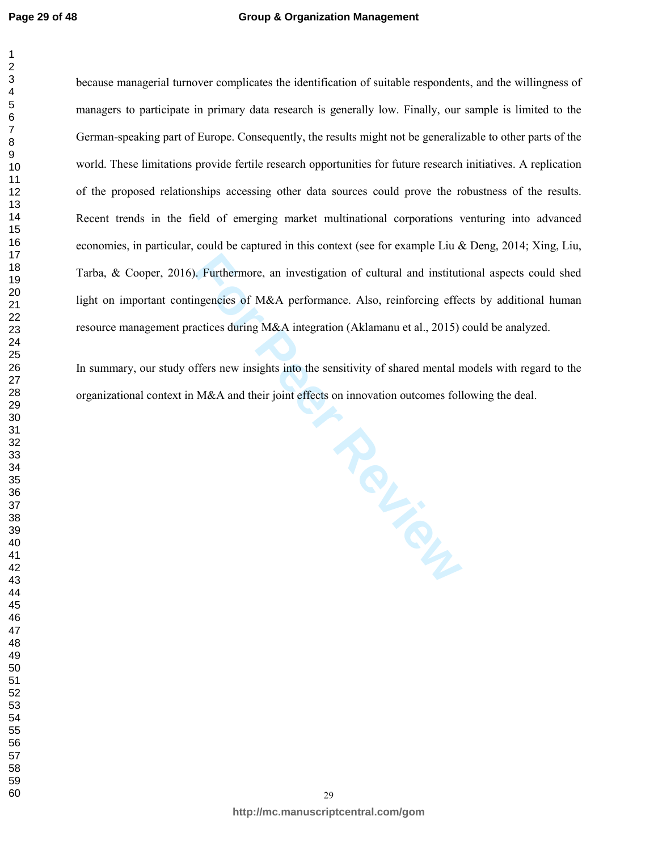#### **Group & Organization Management**

because managerial turnover complicates the identification of suitable respondents, and the willingness of managers to participate in primary data research is generally low. Finally, our sample is limited to the German-speaking part of Europe. Consequently, the results might not be generalizable to other parts of the world. These limitations provide fertile research opportunities for future research initiatives. A replication of the proposed relationships accessing other data sources could prove the robustness of the results. Recent trends in the field of emerging market multinational corporations venturing into advanced economies, in particular, could be captured in this context (see for example Liu & Deng, 2014; Xing, Liu, Tarba, & Cooper, 2016). Furthermore, an investigation of cultural and institutional aspects could shed light on important contingencies of M&A performance. Also, reinforcing effects by additional human resource management practices during M&A integration (Aklamanu et al., 2015) could be analyzed.

In summary, our study offers new insights into the sensitivity of shared mental models with regard to the organizational context in M&A and their joint effects on innovation outcomes following the deal.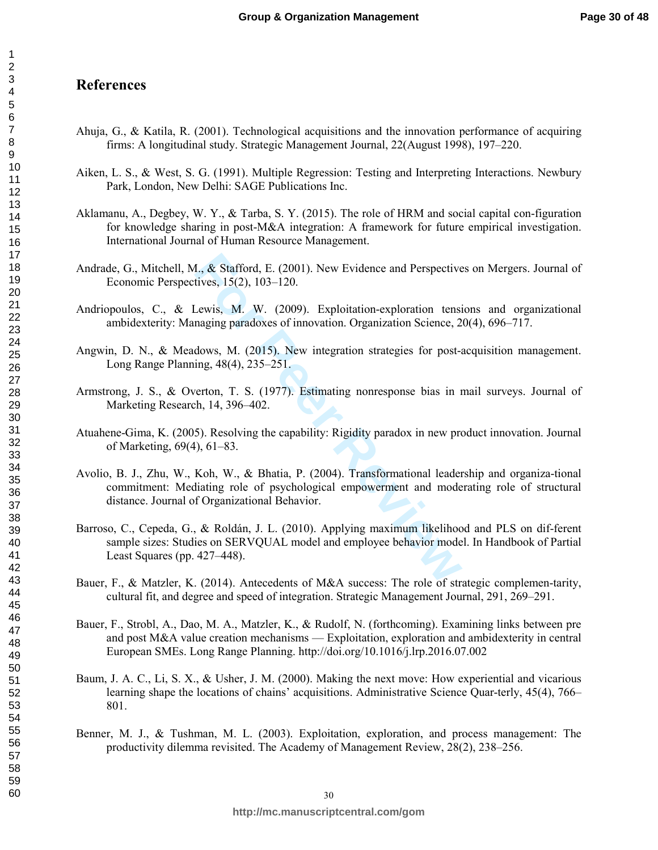# **References**

- Ahuja, G., & Katila, R. (2001). Technological acquisitions and the innovation performance of acquiring firms: A longitudinal study. Strategic Management Journal, 22(August 1998), 197–220.
- Aiken, L. S., & West, S. G. (1991). Multiple Regression: Testing and Interpreting Interactions. Newbury Park, London, New Delhi: SAGE Publications Inc.
- Aklamanu, A., Degbey, W. Y., & Tarba, S. Y. (2015). The role of HRM and social capital con-figuration for knowledge sharing in post-M&A integration: A framework for future empirical investigation. International Journal of Human Resource Management.
- Andrade, G., Mitchell, M., & Stafford, E. (2001). New Evidence and Perspectives on Mergers. Journal of Economic Perspectives, 15(2), 103–120.
- Andriopoulos, C., & Lewis, M. W. (2009). Exploitation-exploration tensions and organizational ambidexterity: Managing paradoxes of innovation. Organization Science, 20(4), 696–717.
- Angwin, D. N., & Meadows, M. (2015). New integration strategies for post-acquisition management. Long Range Planning, 48(4), 235–251.
- Armstrong, J. S., & Overton, T. S. (1977). Estimating nonresponse bias in mail surveys. Journal of Marketing Research, 14, 396–402.
- Atuahene-Gima, K. (2005). Resolving the capability: Rigidity paradox in new product innovation. Journal of Marketing, 69(4), 61–83.
- 1., & Stafford, E. (2001). New Evidence and Perspective<br>tives, 15(2), 103–120.<br>Lewis, M. W. (2009). Exploitation-exploration tensi<br>naging paradoxes of innovation. Organization Science, 2<br>dows, M. (2015). New integration st Avolio, B. J., Zhu, W., Koh, W., & Bhatia, P. (2004). Transformational leadership and organiza-tional commitment: Mediating role of psychological empowerment and moderating role of structural distance. Journal of Organizational Behavior.
- Barroso, C., Cepeda, G., & Roldán, J. L. (2010). Applying maximum likelihood and PLS on dif-ferent sample sizes: Studies on SERVQUAL model and employee behavior model. In Handbook of Partial Least Squares (pp. 427–448).
- Bauer, F., & Matzler, K. (2014). Antecedents of M&A success: The role of strategic complemen-tarity, cultural fit, and degree and speed of integration. Strategic Management Journal, 291, 269–291.
- Bauer, F., Strobl, A., Dao, M. A., Matzler, K., & Rudolf, N. (forthcoming). Examining links between pre and post M&A value creation mechanisms — Exploitation, exploration and ambidexterity in central European SMEs. Long Range Planning. http://doi.org/10.1016/j.lrp.2016.07.002
- Baum, J. A. C., Li, S. X., & Usher, J. M. (2000). Making the next move: How experiential and vicarious learning shape the locations of chains' acquisitions. Administrative Science Quar-terly, 45(4), 766– 801.
- Benner, M. J., & Tushman, M. L. (2003). Exploitation, exploration, and process management: The productivity dilemma revisited. The Academy of Management Review, 28(2), 238–256.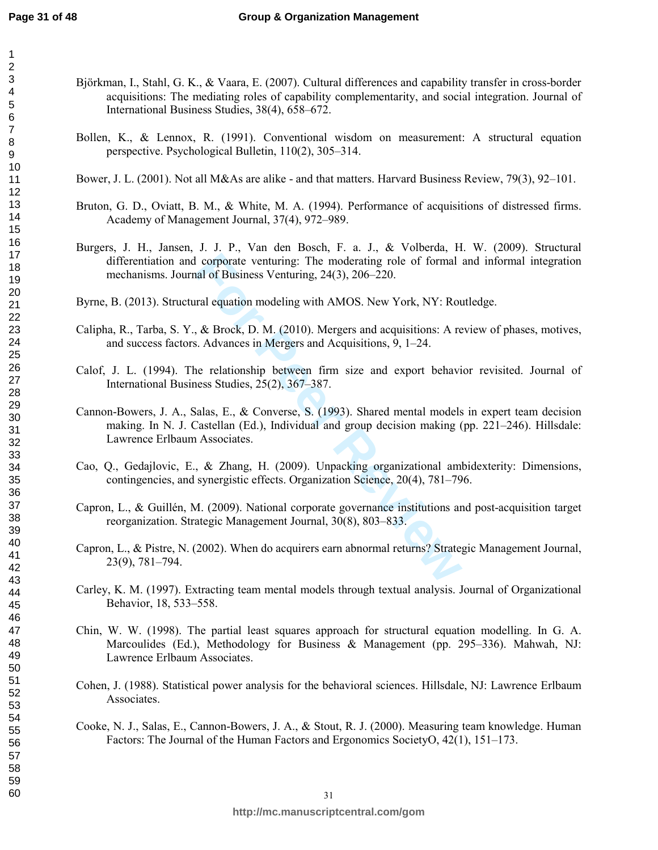- Björkman, I., Stahl, G. K., & Vaara, E. (2007). Cultural differences and capability transfer in cross-border acquisitions: The mediating roles of capability complementarity, and social integration. Journal of International Business Studies, 38(4), 658–672.
	- Bollen, K., & Lennox, R. (1991). Conventional wisdom on measurement: A structural equation perspective. Psychological Bulletin, 110(2), 305–314.
	- Bower, J. L. (2001). Not all M&As are alike and that matters. Harvard Business Review, 79(3), 92–101.
	- Bruton, G. D., Oviatt, B. M., & White, M. A. (1994). Performance of acquisitions of distressed firms. Academy of Management Journal, 37(4), 972–989.
	- Burgers, J. H., Jansen, J. J. P., Van den Bosch, F. a. J., & Volberda, H. W. (2009). Structural differentiation and corporate venturing: The moderating role of formal and informal integration mechanisms. Journal of Business Venturing, 24(3), 206–220.
	- Byrne, B. (2013). Structural equation modeling with AMOS. New York, NY: Routledge.
	- Calipha, R., Tarba, S. Y., & Brock, D. M. (2010). Mergers and acquisitions: A review of phases, motives, and success factors. Advances in Mergers and Acquisitions, 9, 1–24.
	- Calof, J. L. (1994). The relationship between firm size and export behavior revisited. Journal of International Business Studies, 25(2), 367–387.
	- I corporate venturing: The moderating role of formal<br>aal of Business Venturing, 24(3), 206–220.<br>aral equation modeling with AMOS. New York, NY: Rou<br>, & Brock, D. M. (2010). Mergers and acquisitions: A re<br>s. Advances in Mer Cannon-Bowers, J. A., Salas, E., & Converse, S. (1993). Shared mental models in expert team decision making. In N. J. Castellan (Ed.), Individual and group decision making (pp. 221–246). Hillsdale: Lawrence Erlbaum Associates.
	- Cao, Q., Gedajlovic, E., & Zhang, H. (2009). Unpacking organizational ambidexterity: Dimensions, contingencies, and synergistic effects. Organization Science, 20(4), 781–796.
	- Capron, L., & Guillén, M. (2009). National corporate governance institutions and post-acquisition target reorganization. Strategic Management Journal, 30(8), 803–833.
	- Capron, L., & Pistre, N. (2002). When do acquirers earn abnormal returns? Strategic Management Journal, 23(9), 781–794.
	- Carley, K. M. (1997). Extracting team mental models through textual analysis. Journal of Organizational Behavior, 18, 533–558.
	- Chin, W. W. (1998). The partial least squares approach for structural equation modelling. In G. A. Marcoulides (Ed.), Methodology for Business & Management (pp. 295–336). Mahwah, NJ: Lawrence Erlbaum Associates.
	- Cohen, J. (1988). Statistical power analysis for the behavioral sciences. Hillsdale, NJ: Lawrence Erlbaum Associates.
	- Cooke, N. J., Salas, E., Cannon-Bowers, J. A., & Stout, R. J. (2000). Measuring team knowledge. Human Factors: The Journal of the Human Factors and Ergonomics SocietyO, 42(1), 151–173.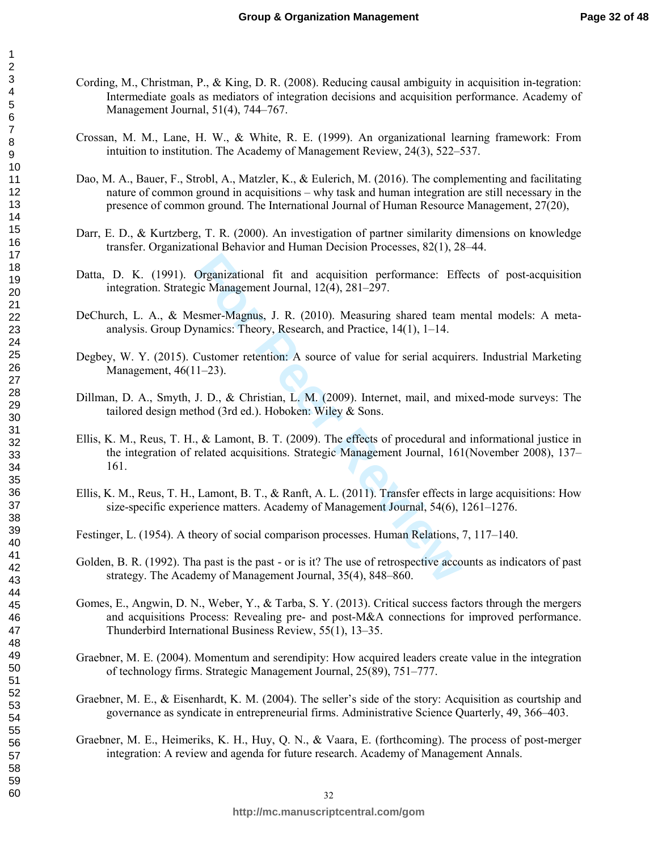- Cording, M., Christman, P., & King, D. R. (2008). Reducing causal ambiguity in acquisition in-tegration: Intermediate goals as mediators of integration decisions and acquisition performance. Academy of Management Journal, 51(4), 744–767.
- Crossan, M. M., Lane, H. W., & White, R. E. (1999). An organizational learning framework: From intuition to institution. The Academy of Management Review, 24(3), 522–537.
- Dao, M. A., Bauer, F., Strobl, A., Matzler, K., & Eulerich, M. (2016). The complementing and facilitating nature of common ground in acquisitions – why task and human integration are still necessary in the presence of common ground. The International Journal of Human Resource Management, 27(20),
- Darr, E. D., & Kurtzberg, T. R. (2000). An investigation of partner similarity dimensions on knowledge transfer. Organizational Behavior and Human Decision Processes, 82(1), 28–44.
- Datta, D. K. (1991). Organizational fit and acquisition performance: Effects of post-acquisition integration. Strategic Management Journal, 12(4), 281–297.
- DeChurch, L. A., & Mesmer-Magnus, J. R. (2010). Measuring shared team mental models: A metaanalysis. Group Dynamics: Theory, Research, and Practice, 14(1), 1–14.
- Degbey, W. Y. (2015). Customer retention: A source of value for serial acquirers. Industrial Marketing Management, 46(11–23).
- Dillman, D. A., Smyth, J. D., & Christian, L. M. (2009). Internet, mail, and mixed-mode surveys: The tailored design method (3rd ed.). Hoboken: Wiley & Sons.
- Organizational fit and acquisition performance: Efficion Management Journal, 12(4), 281–297.<br>
esmer-Magnus, J. R. (2010). Measuring shared team 1<br>
ynamics: Theory, Research, and Practice, 14(1), 1–14.<br>
Customer retention: Ellis, K. M., Reus, T. H., & Lamont, B. T. (2009). The effects of procedural and informational justice in the integration of related acquisitions. Strategic Management Journal, 161(November 2008), 137– 161.
- Ellis, K. M., Reus, T. H., Lamont, B. T., & Ranft, A. L. (2011). Transfer effects in large acquisitions: How size-specific experience matters. Academy of Management Journal, 54(6), 1261–1276.
- Festinger, L. (1954). A theory of social comparison processes. Human Relations, 7, 117–140.
- Golden, B. R. (1992). Tha past is the past or is it? The use of retrospective accounts as indicators of past strategy. The Academy of Management Journal, 35(4), 848–860.
- Gomes, E., Angwin, D. N., Weber, Y., & Tarba, S. Y. (2013). Critical success factors through the mergers and acquisitions Process: Revealing pre- and post-M&A connections for improved performance. Thunderbird International Business Review, 55(1), 13–35.
- Graebner, M. E. (2004). Momentum and serendipity: How acquired leaders create value in the integration of technology firms. Strategic Management Journal, 25(89), 751–777.
- Graebner, M. E., & Eisenhardt, K. M. (2004). The seller's side of the story: Acquisition as courtship and governance as syndicate in entrepreneurial firms. Administrative Science Quarterly, 49, 366–403.
- Graebner, M. E., Heimeriks, K. H., Huy, Q. N., & Vaara, E. (forthcoming). The process of post-merger integration: A review and agenda for future research. Academy of Management Annals.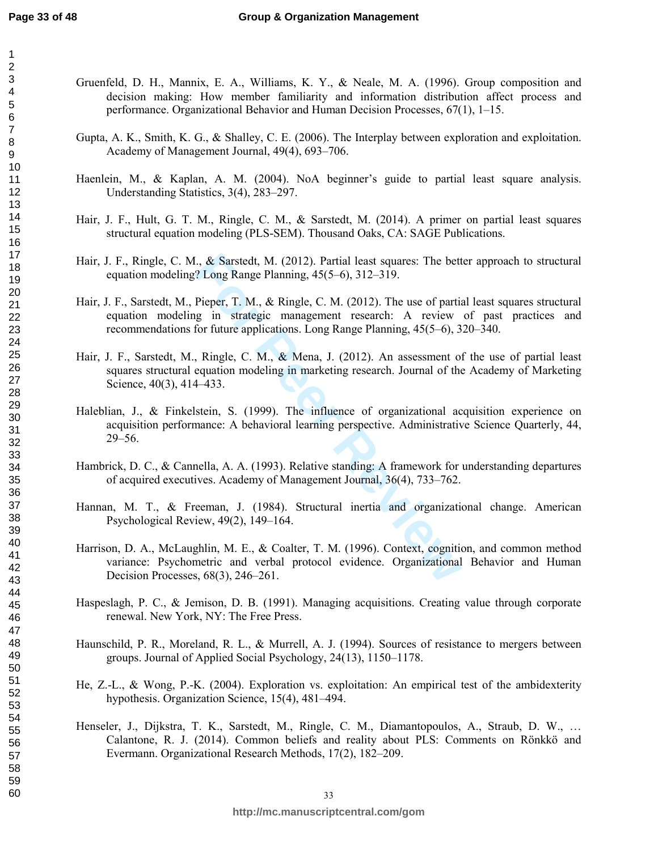- Gruenfeld, D. H., Mannix, E. A., Williams, K. Y., & Neale, M. A. (1996). Group composition and decision making: How member familiarity and information distribution affect process and performance. Organizational Behavior and Human Decision Processes, 67(1), 1–15.
	- Gupta, A. K., Smith, K. G., & Shalley, C. E. (2006). The Interplay between exploration and exploitation. Academy of Management Journal, 49(4), 693–706.
	- Haenlein, M., & Kaplan, A. M. (2004). NoA beginner's guide to partial least square analysis. Understanding Statistics, 3(4), 283–297.
	- Hair, J. F., Hult, G. T. M., Ringle, C. M., & Sarstedt, M. (2014). A primer on partial least squares structural equation modeling (PLS-SEM). Thousand Oaks, CA: SAGE Publications.
	- Hair, J. F., Ringle, C. M., & Sarstedt, M. (2012). Partial least squares: The better approach to structural equation modeling? Long Range Planning, 45(5–6), 312–319.
	- I., & Sarstedt, M. (2012). Partial least squares: The bett<br>
	? Long Range Planning, 45(5–6), 312–319.<br>
	Pieper, T. M., & Ringle, C. M. (2012). The use of partia<br>
	g in strategic management research: A review<br>
	for future appli Hair, J. F., Sarstedt, M., Pieper, T. M., & Ringle, C. M. (2012). The use of partial least squares structural equation modeling in strategic management research: A review of past practices and recommendations for future applications. Long Range Planning, 45(5–6), 320–340.
	- Hair, J. F., Sarstedt, M., Ringle, C. M., & Mena, J. (2012). An assessment of the use of partial least squares structural equation modeling in marketing research. Journal of the Academy of Marketing Science, 40(3), 414–433.
	- Haleblian, J., & Finkelstein, S. (1999). The influence of organizational acquisition experience on acquisition performance: A behavioral learning perspective. Administrative Science Quarterly, 44, 29–56.
	- Hambrick, D. C., & Cannella, A. A. (1993). Relative standing: A framework for understanding departures of acquired executives. Academy of Management Journal, 36(4), 733–762.
	- Hannan, M. T., & Freeman, J. (1984). Structural inertia and organizational change. American Psychological Review, 49(2), 149–164.
	- Harrison, D. A., McLaughlin, M. E., & Coalter, T. M. (1996). Context, cognition, and common method variance: Psychometric and verbal protocol evidence. Organizational Behavior and Human Decision Processes, 68(3), 246–261.
	- Haspeslagh, P. C., & Jemison, D. B. (1991). Managing acquisitions. Creating value through corporate renewal. New York, NY: The Free Press.
	- Haunschild, P. R., Moreland, R. L., & Murrell, A. J. (1994). Sources of resistance to mergers between groups. Journal of Applied Social Psychology, 24(13), 1150–1178.
	- He, Z.-L., & Wong, P.-K. (2004). Exploration vs. exploitation: An empirical test of the ambidexterity hypothesis. Organization Science, 15(4), 481–494.
	- Henseler, J., Dijkstra, T. K., Sarstedt, M., Ringle, C. M., Diamantopoulos, A., Straub, D. W., … Calantone, R. J. (2014). Common beliefs and reality about PLS: Comments on Rönkkö and Evermann. Organizational Research Methods, 17(2), 182–209.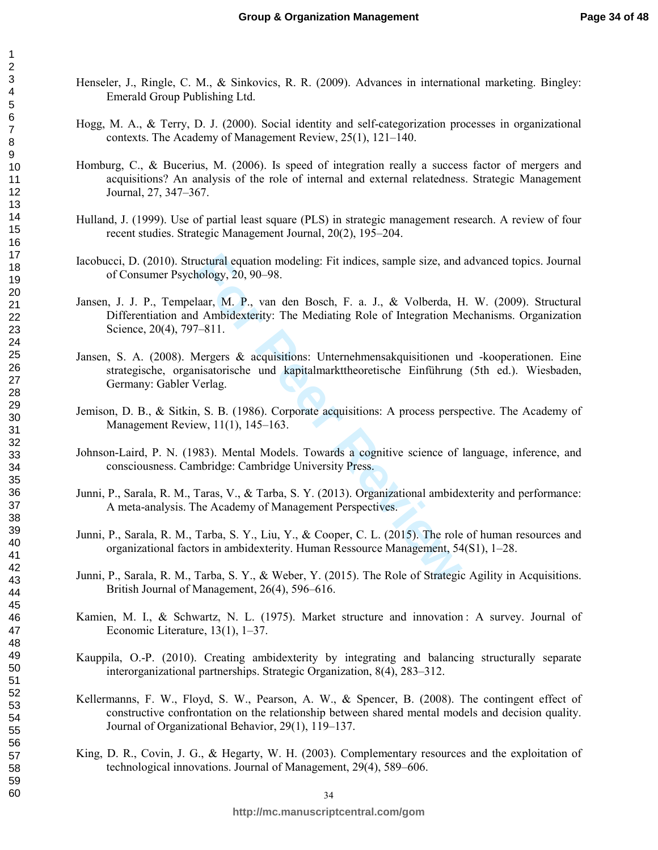- Henseler, J., Ringle, C. M., & Sinkovics, R. R. (2009). Advances in international marketing. Bingley: Emerald Group Publishing Ltd.
- Hogg, M. A., & Terry, D. J. (2000). Social identity and self-categorization processes in organizational contexts. The Academy of Management Review, 25(1), 121–140.
- Homburg, C., & Bucerius, M. (2006). Is speed of integration really a success factor of mergers and acquisitions? An analysis of the role of internal and external relatedness. Strategic Management Journal, 27, 347–367.
- Hulland, J. (1999). Use of partial least square (PLS) in strategic management research. A review of four recent studies. Strategic Management Journal, 20(2), 195–204.
- Iacobucci, D. (2010). Structural equation modeling: Fit indices, sample size, and advanced topics. Journal of Consumer Psychology, 20, 90–98.
- uctural equation modeling: Fit indices, sample size, and<br>hology, 20, 90–98.<br>laar, M. P., van den Bosch, F. a. J., & Volberda, F.<br>Ambidexterity: The Mediating Role of Integration M<br>7–811.<br>Mergers & acquisitions: Unternehmen Jansen, J. J. P., Tempelaar, M. P., van den Bosch, F. a. J., & Volberda, H. W. (2009). Structural Differentiation and Ambidexterity: The Mediating Role of Integration Mechanisms. Organization Science, 20(4), 797–811.
- Jansen, S. A. (2008). Mergers & acquisitions: Unternehmensakquisitionen und -kooperationen. Eine strategische, organisatorische und kapitalmarkttheoretische Einführung (5th ed.). Wiesbaden, Germany: Gabler Verlag.
- Jemison, D. B., & Sitkin, S. B. (1986). Corporate acquisitions: A process perspective. The Academy of Management Review, 11(1), 145–163.
- Johnson-Laird, P. N. (1983). Mental Models. Towards a cognitive science of language, inference, and consciousness. Cambridge: Cambridge University Press.
- Junni, P., Sarala, R. M., Taras, V., & Tarba, S. Y. (2013). Organizational ambidexterity and performance: A meta-analysis. The Academy of Management Perspectives.
- Junni, P., Sarala, R. M., Tarba, S. Y., Liu, Y., & Cooper, C. L. (2015). The role of human resources and organizational factors in ambidexterity. Human Ressource Management, 54(S1), 1–28.
- Junni, P., Sarala, R. M., Tarba, S. Y., & Weber, Y. (2015). The Role of Strategic Agility in Acquisitions. British Journal of Management, 26(4), 596–616.
- Kamien, M. I., & Schwartz, N. L. (1975). Market structure and innovation : A survey. Journal of Economic Literature, 13(1), 1–37.
- Kauppila, O.-P. (2010). Creating ambidexterity by integrating and balancing structurally separate interorganizational partnerships. Strategic Organization, 8(4), 283–312.
- Kellermanns, F. W., Floyd, S. W., Pearson, A. W., & Spencer, B. (2008). The contingent effect of constructive confrontation on the relationship between shared mental models and decision quality. Journal of Organizational Behavior, 29(1), 119–137.
- King, D. R., Covin, J. G., & Hegarty, W. H. (2003). Complementary resources and the exploitation of technological innovations. Journal of Management, 29(4), 589–606.

123456789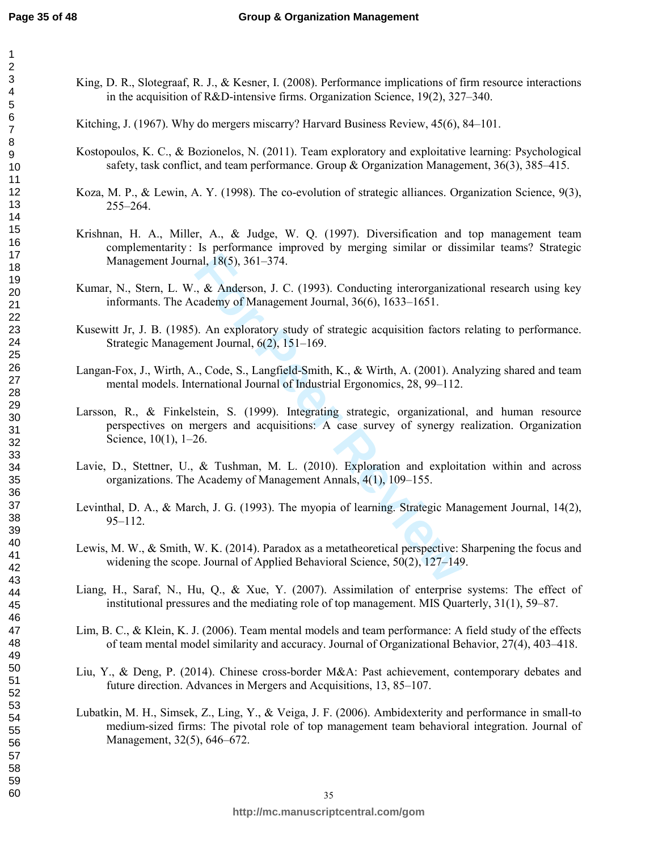- King, D. R., Slotegraaf, R. J., & Kesner, I. (2008). Performance implications of firm resource interactions in the acquisition of R&D-intensive firms. Organization Science, 19(2), 327–340.
- Kitching, J. (1967). Why do mergers miscarry? Harvard Business Review, 45(6), 84–101.
- Kostopoulos, K. C., & Bozionelos, N. (2011). Team exploratory and exploitative learning: Psychological safety, task conflict, and team performance. Group & Organization Management, 36(3), 385–415.
- Koza, M. P., & Lewin, A. Y. (1998). The co-evolution of strategic alliances. Organization Science, 9(3), 255–264.
- Krishnan, H. A., Miller, A., & Judge, W. Q. (1997). Diversification and top management team complementarity : Is performance improved by merging similar or dissimilar teams? Strategic Management Journal, 18(5), 361–374.
- Kumar, N., Stern, L. W., & Anderson, J. C. (1993). Conducting interorganizational research using key informants. The Academy of Management Journal, 36(6), 1633–1651.
- Kusewitt Jr, J. B. (1985). An exploratory study of strategic acquisition factors relating to performance. Strategic Management Journal, 6(2), 151–169.
- Langan-Fox, J., Wirth, A., Code, S., Langfield-Smith, K., & Wirth, A. (2001). Analyzing shared and team mental models. International Journal of Industrial Ergonomics, 28, 99–112.
- nal, 18(5), 361–374.<br> **Formal**, 8(5), 361–374.<br> **Formal**, 36(6), 1633–1651.<br> **Formal**, 36(6), 1633–1651.<br> **Formal**, 6(2), 151–169.<br> **Formal**, 6(2), 151–169.<br> **Formal**, 6(2), 151–169.<br> **Formall, 6(2), 151–169.**<br> **Formall Jo** Larsson, R., & Finkelstein, S. (1999). Integrating strategic, organizational, and human resource perspectives on mergers and acquisitions: A case survey of synergy realization. Organization Science, 10(1), 1–26.
- Lavie, D., Stettner, U., & Tushman, M. L. (2010). Exploration and exploitation within and across organizations. The Academy of Management Annals, 4(1), 109–155.
- Levinthal, D. A., & March, J. G. (1993). The myopia of learning. Strategic Management Journal, 14(2), 95–112.
- Lewis, M. W., & Smith, W. K. (2014). Paradox as a metatheoretical perspective: Sharpening the focus and widening the scope. Journal of Applied Behavioral Science, 50(2), 127–149.
- Liang, H., Saraf, N., Hu, Q., & Xue, Y. (2007). Assimilation of enterprise systems: The effect of institutional pressures and the mediating role of top management. MIS Quarterly, 31(1), 59–87.
- Lim, B. C., & Klein, K. J. (2006). Team mental models and team performance: A field study of the effects of team mental model similarity and accuracy. Journal of Organizational Behavior, 27(4), 403–418.
- Liu, Y., & Deng, P. (2014). Chinese cross-border M&A: Past achievement, contemporary debates and future direction. Advances in Mergers and Acquisitions, 13, 85–107.
- Lubatkin, M. H., Simsek, Z., Ling, Y., & Veiga, J. F. (2006). Ambidexterity and performance in small-to medium-sized firms: The pivotal role of top management team behavioral integration. Journal of Management, 32(5), 646–672.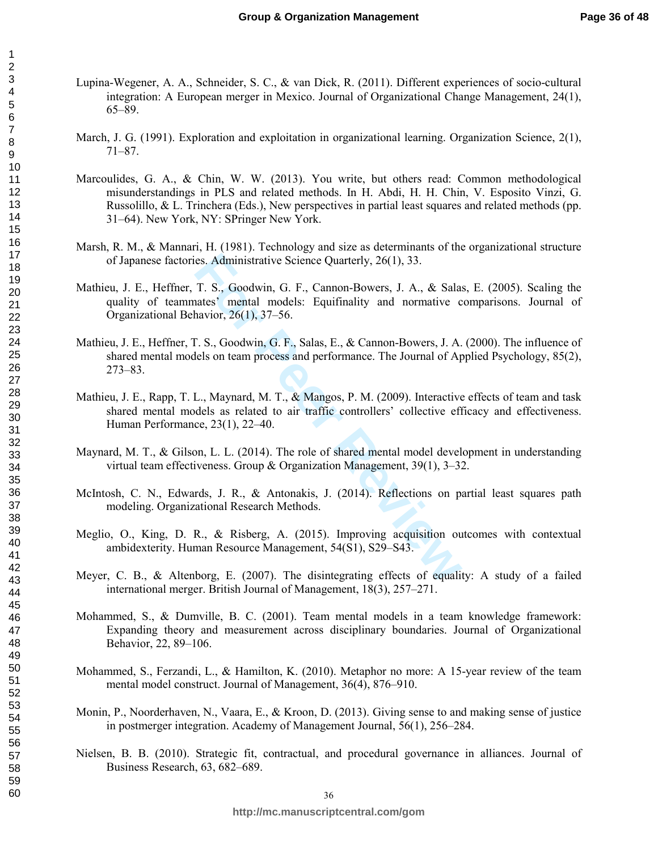- Lupina-Wegener, A. A., Schneider, S. C., & van Dick, R. (2011). Different experiences of socio-cultural integration: A European merger in Mexico. Journal of Organizational Change Management, 24(1), 65–89.
- March, J. G. (1991). Exploration and exploitation in organizational learning. Organization Science, 2(1), 71–87.
- Marcoulides, G. A., & Chin, W. W. (2013). You write, but others read: Common methodological misunderstandings in PLS and related methods. In H. Abdi, H. H. Chin, V. Esposito Vinzi, G. Russolillo, & L. Trinchera (Eds.), New perspectives in partial least squares and related methods (pp. 31–64). New York, NY: SPringer New York.
- Marsh, R. M., & Mannari, H. (1981). Technology and size as determinants of the organizational structure of Japanese factories. Administrative Science Quarterly, 26(1), 33.
- Mathieu, J. E., Heffner, T. S., Goodwin, G. F., Cannon-Bowers, J. A., & Salas, E. (2005). Scaling the quality of teammates' mental models: Equifinality and normative comparisons. Journal of Organizational Behavior, 26(1), 37–56.
- Mathieu, J. E., Heffner, T. S., Goodwin, G. F., Salas, E., & Cannon-Bowers, J. A. (2000). The influence of shared mental models on team process and performance. The Journal of Applied Psychology, 85(2), 273–83.
- es. Administrative Science Quarterly, 26(1), 33.<br>
T. S., Goodwin, G. F., Cannon-Bowers, J. A., & Sala:<br>
atates' mental models: Equifinality and normative c<br>
havior, 26(1), 37–56.<br>
F. S., Goodwin, G. F., Salas, E., & Cannon Mathieu, J. E., Rapp, T. L., Maynard, M. T., & Mangos, P. M. (2009). Interactive effects of team and task shared mental models as related to air traffic controllers' collective efficacy and effectiveness. Human Performance, 23(1), 22–40.
- Maynard, M. T., & Gilson, L. L. (2014). The role of shared mental model development in understanding virtual team effectiveness. Group & Organization Management, 39(1), 3–32.
- McIntosh, C. N., Edwards, J. R., & Antonakis, J. (2014). Reflections on partial least squares path modeling. Organizational Research Methods.
- Meglio, O., King, D. R., & Risberg, A. (2015). Improving acquisition outcomes with contextual ambidexterity. Human Resource Management, 54(S1), S29–S43.
- Meyer, C. B., & Altenborg, E. (2007). The disintegrating effects of equality: A study of a failed international merger. British Journal of Management, 18(3), 257–271.
- Mohammed, S., & Dumville, B. C. (2001). Team mental models in a team knowledge framework: Expanding theory and measurement across disciplinary boundaries. Journal of Organizational Behavior, 22, 89–106.
- Mohammed, S., Ferzandi, L., & Hamilton, K. (2010). Metaphor no more: A 15-year review of the team mental model construct. Journal of Management, 36(4), 876–910.
- Monin, P., Noorderhaven, N., Vaara, E., & Kroon, D. (2013). Giving sense to and making sense of justice in postmerger integration. Academy of Management Journal, 56(1), 256–284.
- Nielsen, B. B. (2010). Strategic fit, contractual, and procedural governance in alliances. Journal of Business Research, 63, 682–689.

123456789

10 11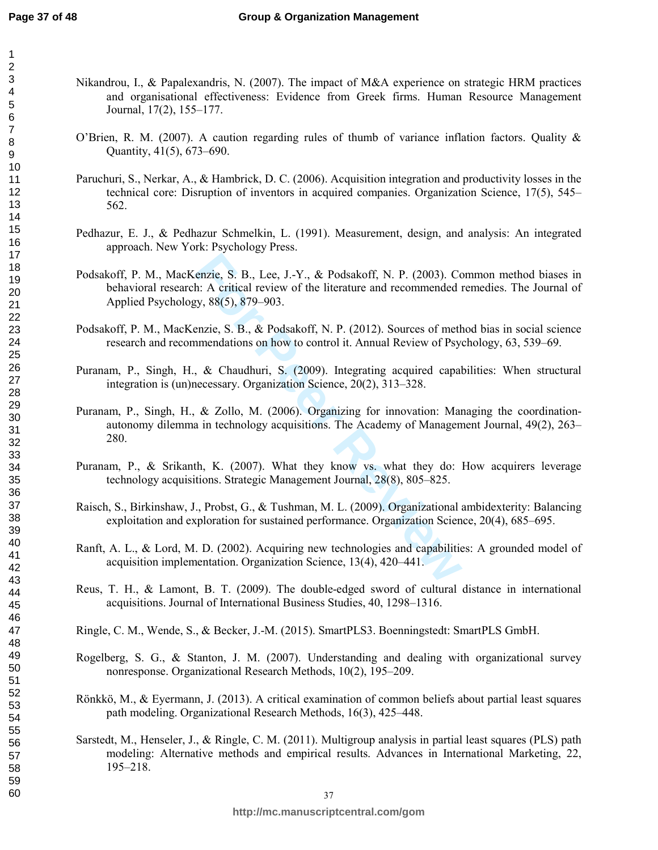- Nikandrou, I., & Papalexandris, N. (2007). The impact of M&A experience on strategic HRM practices and organisational effectiveness: Evidence from Greek firms. Human Resource Management Journal, 17(2), 155–177.
	- O'Brien, R. M. (2007). A caution regarding rules of thumb of variance inflation factors. Quality & Quantity, 41(5), 673–690.
	- Paruchuri, S., Nerkar, A., & Hambrick, D. C. (2006). Acquisition integration and productivity losses in the technical core: Disruption of inventors in acquired companies. Organization Science, 17(5), 545– 562.
- Pedhazur, E. J., & Pedhazur Schmelkin, L. (1991). Measurement, design, and analysis: An integrated approach. New York: Psychology Press.
- enzie, S. B., Lee, J.-Y., & Podsakoff, N. P. (2003). Contract A critical review of the literature and recommended by, 88(5), 879–903.<br>
Fig. S. B., & Podsakoff, N. P. (2012). Sources of methomenology, 88(5), 879–903.<br>
Fig. Podsakoff, P. M., MacKenzie, S. B., Lee, J.-Y., & Podsakoff, N. P. (2003). Common method biases in behavioral research: A critical review of the literature and recommended remedies. The Journal of Applied Psychology, 88(5), 879–903.
- Podsakoff, P. M., MacKenzie, S. B., & Podsakoff, N. P. (2012). Sources of method bias in social science research and recommendations on how to control it. Annual Review of Psychology, 63, 539–69.
- Puranam, P., Singh, H., & Chaudhuri, S. (2009). Integrating acquired capabilities: When structural integration is (un)necessary. Organization Science, 20(2), 313–328.
- Puranam, P., Singh, H., & Zollo, M. (2006). Organizing for innovation: Managing the coordinationautonomy dilemma in technology acquisitions. The Academy of Management Journal, 49(2), 263– 280.
- Puranam, P., & Srikanth, K. (2007). What they know vs. what they do: How acquirers leverage technology acquisitions. Strategic Management Journal, 28(8), 805–825.
- Raisch, S., Birkinshaw, J., Probst, G., & Tushman, M. L. (2009). Organizational ambidexterity: Balancing exploitation and exploration for sustained performance. Organization Science, 20(4), 685–695.
- Ranft, A. L., & Lord, M. D. (2002). Acquiring new technologies and capabilities: A grounded model of acquisition implementation. Organization Science, 13(4), 420–441.
- Reus, T. H., & Lamont, B. T. (2009). The double-edged sword of cultural distance in international acquisitions. Journal of International Business Studies, 40, 1298–1316.
- Ringle, C. M., Wende, S., & Becker, J.-M. (2015). SmartPLS3. Boenningstedt: SmartPLS GmbH.
- Rogelberg, S. G., & Stanton, J. M. (2007). Understanding and dealing with organizational survey nonresponse. Organizational Research Methods, 10(2), 195–209.
- Rönkkö, M., & Eyermann, J. (2013). A critical examination of common beliefs about partial least squares path modeling. Organizational Research Methods, 16(3), 425–448.
- Sarstedt, M., Henseler, J., & Ringle, C. M. (2011). Multigroup analysis in partial least squares (PLS) path modeling: Alternative methods and empirical results. Advances in International Marketing, 22, 195–218.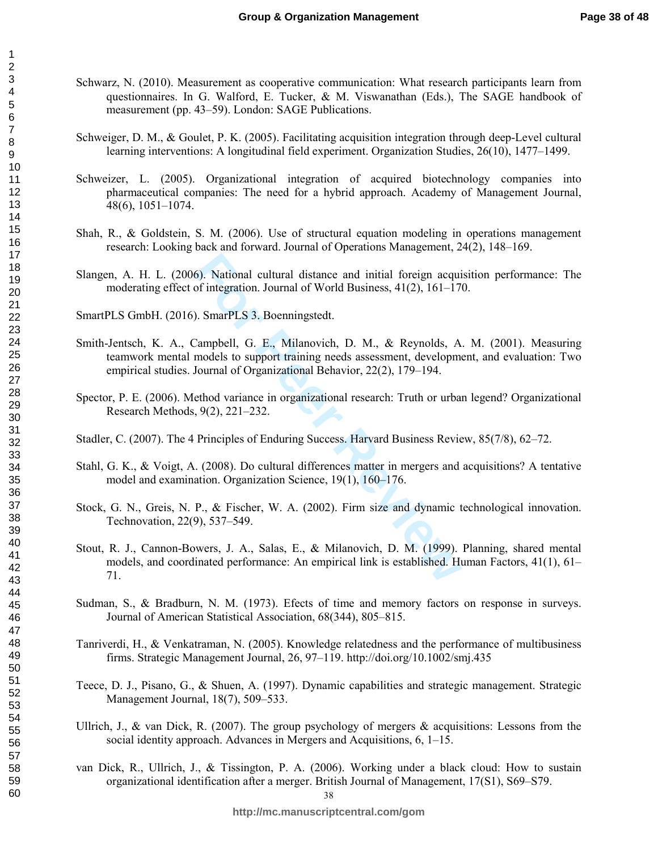- Schwarz, N. (2010). Measurement as cooperative communication: What research participants learn from questionnaires. In G. Walford, E. Tucker, & M. Viswanathan (Eds.), The SAGE handbook of measurement (pp. 43–59). London: SAGE Publications.
	- Schweiger, D. M., & Goulet, P. K. (2005). Facilitating acquisition integration through deep-Level cultural learning interventions: A longitudinal field experiment. Organization Studies, 26(10), 1477–1499.
	- Schweizer, L. (2005). Organizational integration of acquired biotechnology companies into pharmaceutical companies: The need for a hybrid approach. Academy of Management Journal, 48(6), 1051–1074.
	- Shah, R., & Goldstein, S. M. (2006). Use of structural equation modeling in operations management research: Looking back and forward. Journal of Operations Management, 24(2), 148–169.
- Slangen, A. H. L. (2006). National cultural distance and initial foreign acquisition performance: The moderating effect of integration. Journal of World Business, 41(2), 161–170.

SmartPLS GmbH. (2016). SmarPLS 3. Boenningstedt.

- Smith-Jentsch, K. A., Campbell, G. E., Milanovich, D. M., & Reynolds, A. M. (2001). Measuring teamwork mental models to support training needs assessment, development, and evaluation: Two empirical studies. Journal of Organizational Behavior, 22(2), 179–194.
- Spector, P. E. (2006). Method variance in organizational research: Truth or urban legend? Organizational Research Methods, 9(2), 221–232.
- Stadler, C. (2007). The 4 Principles of Enduring Success. Harvard Business Review, 85(7/8), 62–72.
- Stahl, G. K., & Voigt, A. (2008). Do cultural differences matter in mergers and acquisitions? A tentative model and examination. Organization Science, 19(1), 160–176.
- Stock, G. N., Greis, N. P., & Fischer, W. A. (2002). Firm size and dynamic technological innovation. Technovation, 22(9), 537–549.
- 6). National cultural distance and initial foreign acquided of integration. Journal of World Business, 41(2), 161–170.<br>
For PES 3. Boenningstedt.<br>
Campbell, G. E., Milanovich, D. M., & Reynolds, Amodels to support training Stout, R. J., Cannon-Bowers, J. A., Salas, E., & Milanovich, D. M. (1999). Planning, shared mental models, and coordinated performance: An empirical link is established. Human Factors, 41(1), 61– 71.
- Sudman, S., & Bradburn, N. M. (1973). Efects of time and memory factors on response in surveys. Journal of American Statistical Association, 68(344), 805–815.
- Tanriverdi, H., & Venkatraman, N. (2005). Knowledge relatedness and the performance of multibusiness firms. Strategic Management Journal, 26, 97–119. http://doi.org/10.1002/smj.435
- Teece, D. J., Pisano, G., & Shuen, A. (1997). Dynamic capabilities and strategic management. Strategic Management Journal, 18(7), 509–533.
- Ullrich, J., & van Dick, R. (2007). The group psychology of mergers & acquisitions: Lessons from the social identity approach. Advances in Mergers and Acquisitions, 6, 1–15.
- van Dick, R., Ullrich, J., & Tissington, P. A. (2006). Working under a black cloud: How to sustain organizational identification after a merger. British Journal of Management, 17(S1), S69–S79.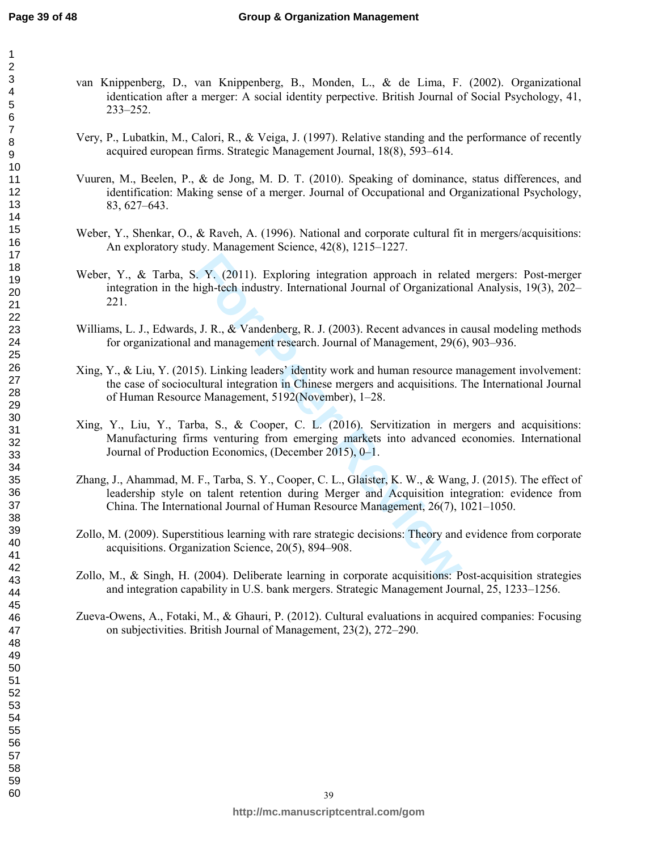- van Knippenberg, D., van Knippenberg, B., Monden, L., & de Lima, F. (2002). Organizational identication after a merger: A social identity perpective. British Journal of Social Psychology, 41, 233–252.
- Very, P., Lubatkin, M., Calori, R., & Veiga, J. (1997). Relative standing and the performance of recently acquired european firms. Strategic Management Journal, 18(8), 593–614.
- Vuuren, M., Beelen, P., & de Jong, M. D. T. (2010). Speaking of dominance, status differences, and identification: Making sense of a merger. Journal of Occupational and Organizational Psychology, 83, 627–643.
- Weber, Y., Shenkar, O., & Raveh, A. (1996). National and corporate cultural fit in mergers/acquisitions: An exploratory study. Management Science, 42(8), 1215–1227.
- F. Y. (2011). Exploring integration approach in relate high-tech industry. International Journal of Organization<br> **F. J. R., & Vandenberg, R. J. (2003). Recent advances in and management research. Journal of Management, 29** Weber, Y., & Tarba, S. Y. (2011). Exploring integration approach in related mergers: Post-merger integration in the high-tech industry. International Journal of Organizational Analysis, 19(3), 202– 221.
- Williams, L. J., Edwards, J. R., & Vandenberg, R. J. (2003). Recent advances in causal modeling methods for organizational and management research. Journal of Management, 29(6), 903–936.
- Xing, Y., & Liu, Y. (2015). Linking leaders' identity work and human resource management involvement: the case of sociocultural integration in Chinese mergers and acquisitions. The International Journal of Human Resource Management, 5192(November), 1–28.
- Xing, Y., Liu, Y., Tarba, S., & Cooper, C. L. (2016). Servitization in mergers and acquisitions: Manufacturing firms venturing from emerging markets into advanced economies. International Journal of Production Economics, (December 2015), 0–1.
- Zhang, J., Ahammad, M. F., Tarba, S. Y., Cooper, C. L., Glaister, K. W., & Wang, J. (2015). The effect of leadership style on talent retention during Merger and Acquisition integration: evidence from China. The International Journal of Human Resource Management, 26(7), 1021–1050.
- Zollo, M. (2009). Superstitious learning with rare strategic decisions: Theory and evidence from corporate acquisitions. Organization Science, 20(5), 894–908.
- Zollo, M., & Singh, H. (2004). Deliberate learning in corporate acquisitions: Post-acquisition strategies and integration capability in U.S. bank mergers. Strategic Management Journal, 25, 1233–1256.
- Zueva-Owens, A., Fotaki, M., & Ghauri, P. (2012). Cultural evaluations in acquired companies: Focusing on subjectivities. British Journal of Management, 23(2), 272–290.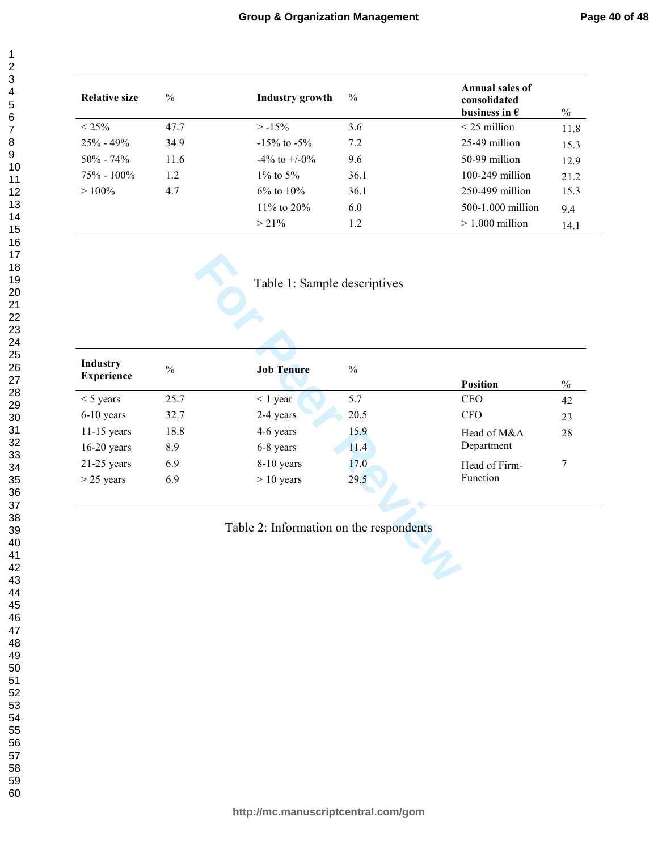| <b>Relative size</b> | $\frac{0}{0}$ | Industry growth    | $\frac{0}{0}$ | Annual sales of<br>consolidated<br>business in $\epsilon$ | $\%$ |
|----------------------|---------------|--------------------|---------------|-----------------------------------------------------------|------|
| $< 25\%$             | 47.7          | $> -15\%$          | 3.6           | $<$ 25 million                                            | 11.8 |
| $25\% - 49\%$        | 34.9          | $-15\%$ to $-5\%$  | 7.2           | 25-49 million                                             | 15.3 |
| $50\% - 74\%$        | 11.6          | $-4\%$ to $+/-0\%$ | 9.6           | 50-99 million                                             | 12.9 |
| $75\% - 100\%$       | 1.2           | $1\%$ to 5%        | 36.1          | $100-249$ million                                         | 21.2 |
| $>100\%$             | 4.7           | $6\%$ to $10\%$    | 36.1          | $250-499$ million                                         | 15.3 |
|                      |               | 11\% to 20\%       | 6.0           | 500-1.000 million                                         | 9.4  |
|                      |               | $> 21\%$           | 1.2           | $>1.000$ million                                          | 14.1 |

| <b>Industry</b>   | $\frac{0}{0}$ | <b>Job Tenure</b> | $\%$ |                 |               |
|-------------------|---------------|-------------------|------|-----------------|---------------|
| <b>Experience</b> |               |                   |      | <b>Position</b> | $\frac{0}{0}$ |
| $<$ 5 years       | 25.7          | $\leq 1$ year     | 5.7  | <b>CEO</b>      | 42            |
| 6-10 years        | 32.7          | 2-4 years         | 20.5 | <b>CFO</b>      | 23            |
| $11-15$ years     | 18.8          | 4-6 years         | 15.9 | Head of M&A     | 28            |
| $16-20$ years     | 8.9           | 6-8 years         | 11.4 | Department      |               |
| $21-25$ years     | 6.9           | 8-10 years        | 17.0 | Head of Firm-   | 7             |
| $>$ 25 years      | 6.9           | $> 10$ years      | 29.5 | Function        |               |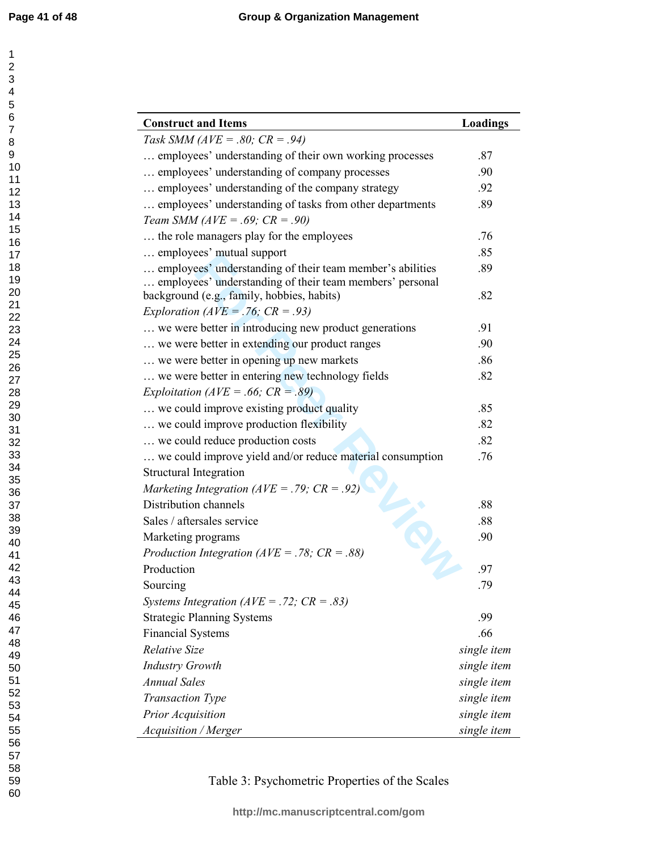| <b>Construct and Items</b>                                | Loadings    |
|-----------------------------------------------------------|-------------|
| Task SMM ( $AVE = .80$ ; $CR = .94$ )                     |             |
| employees' understanding of their own working processes   | .87         |
| employees' understanding of company processes             | .90         |
| employees' understanding of the company strategy          | .92         |
| employees' understanding of tasks from other departments  | .89         |
| Team SMM ( $AVE = .69$ ; $CR = .90$ )                     |             |
| the role managers play for the employees                  | .76         |
| employees' mutual support                                 | .85         |
| employees' understanding of their team member's abilities | .89         |
| employees' understanding of their team members' personal  |             |
| background (e.g., family, hobbies, habits)                | .82         |
| Exploration ( $AVE = .76$ ; $CR = .93$ )                  |             |
| we were better in introducing new product generations     | .91         |
| we were better in extending our product ranges            | .90         |
| we were better in opening up new markets                  | .86         |
| we were better in entering new technology fields          | .82         |
| Exploitation ( $AVE = .66$ ; $CR = .89$ )                 |             |
| we could improve existing product quality                 | .85         |
| we could improve production flexibility                   | .82         |
| we could reduce production costs                          | .82         |
| we could improve yield and/or reduce material consumption | .76         |
| <b>Structural Integration</b>                             |             |
| Marketing Integration ( $AVE = .79$ ; $CR = .92$ )        |             |
| Distribution channels                                     | .88         |
| Sales / aftersales service                                | .88         |
| Marketing programs                                        | .90         |
| Production Integration ( $AVE = .78$ ; $CR = .88$ )       |             |
| Production                                                | .97         |
| Sourcing                                                  | .79         |
| Systems Integration ( $AVE = .72$ ; $CR = .83$ )          |             |
| <b>Strategic Planning Systems</b>                         | .99         |
| <b>Financial Systems</b>                                  | .66         |
| <b>Relative Size</b>                                      | single item |
| <b>Industry Growth</b>                                    | single item |
| <b>Annual Sales</b>                                       | single item |
| <b>Transaction Type</b>                                   | single item |
| Prior Acquisition                                         | single item |
| Acquisition / Merger                                      | single item |

Table 3: Psychometric Properties of the Scales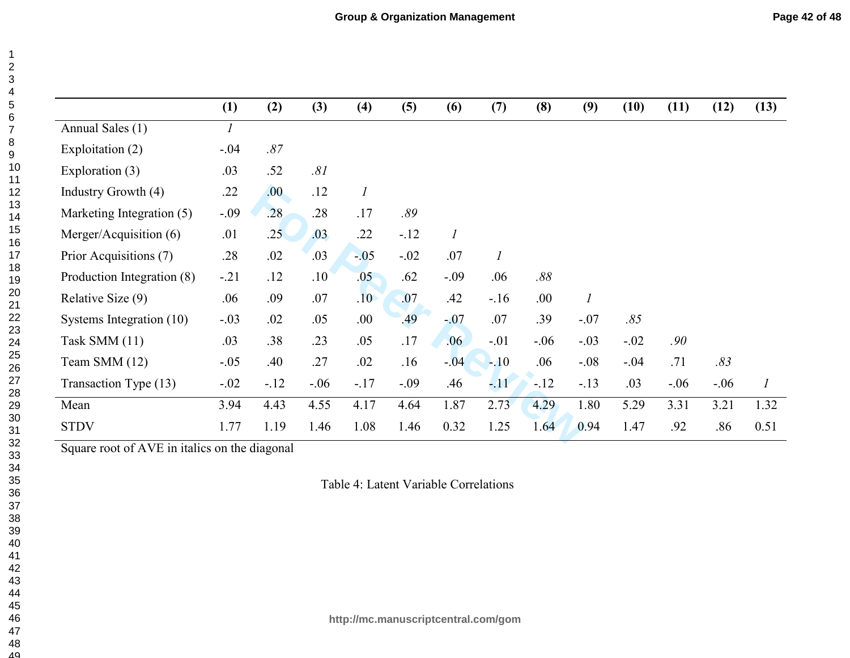| Page 42 of 48 |  |  |  |
|---------------|--|--|--|
|---------------|--|--|--|

|                            | (1)           | (2)   | (3)              | (4)              | (5)    | (6)              | (7)              | (8)    | (9)              | (10)   | (11)   | (12)    | (13)             |
|----------------------------|---------------|-------|------------------|------------------|--------|------------------|------------------|--------|------------------|--------|--------|---------|------------------|
| Annual Sales (1)           | $\mathcal{I}$ |       |                  |                  |        |                  |                  |        |                  |        |        |         |                  |
| Exploitation (2)           | $-.04$        | .87   |                  |                  |        |                  |                  |        |                  |        |        |         |                  |
| Exploration (3)            | .03           | .52   | .81              |                  |        |                  |                  |        |                  |        |        |         |                  |
| Industry Growth (4)        | .22           | .00.  | .12              | $\boldsymbol{l}$ |        |                  |                  |        |                  |        |        |         |                  |
| Marketing Integration (5)  | $-.09$        | .28   | .28              | .17              | .89    |                  |                  |        |                  |        |        |         |                  |
| Merger/Acquisition (6)     | .01           | .25   | .03              | .22              | $-.12$ | $\boldsymbol{l}$ |                  |        |                  |        |        |         |                  |
| Prior Acquisitions (7)     | .28           | .02   | .03              | $-05$            | $-.02$ | .07              | $\boldsymbol{l}$ |        |                  |        |        |         |                  |
| Production Integration (8) | $-.21$        | .12   | .10 <sup>°</sup> | .05              | .62    | $-.09$           | .06              | .88    |                  |        |        |         |                  |
| Relative Size (9)          | .06           | .09   | .07              | .10 <sup>°</sup> | .07    | .42              | $-16$            | .00.   | $\boldsymbol{l}$ |        |        |         |                  |
| Systems Integration (10)   | $-.03$        | .02   | .05              | .00.             | .49    | $-07$            | .07              | .39    | $-.07$           | .85    |        |         |                  |
| Task SMM (11)              | .03           | .38   | .23              | .05              | .17    | .06              | $-.01$           | $-.06$ | $-.03$           | $-.02$ | .90    |         |                  |
| Team SMM (12)              | $-.05$        | .40   | .27              | .02              | .16    | $-04$            | $-.10$           | .06    | $-.08$           | $-.04$ | .71    | .83     |                  |
| Transaction Type (13)      | $-.02$        | $-12$ | $-.06$           | $-.17$           | $-.09$ | .46              | $-11$            | $-12$  | $-.13$           | .03    | $-.06$ | $-0.06$ | $\boldsymbol{l}$ |
| Mean                       | 3.94          | 4.43  | 4.55             | 4.17             | 4.64   | 1.87             | 2.73             | 4.29   | 1.80             | 5.29   | 3.31   | 3.21    | 1.32             |
| <b>STDV</b>                | 1.77          | 1.19  | 1.46             | 1.08             | 1.46   | 0.32             | 1.25             | 1.64   | 0.94             | 1.47   | .92    | .86     | 0.51             |

Square root of AVE in italics on the diagonal

Table 4: Latent Variable Correlations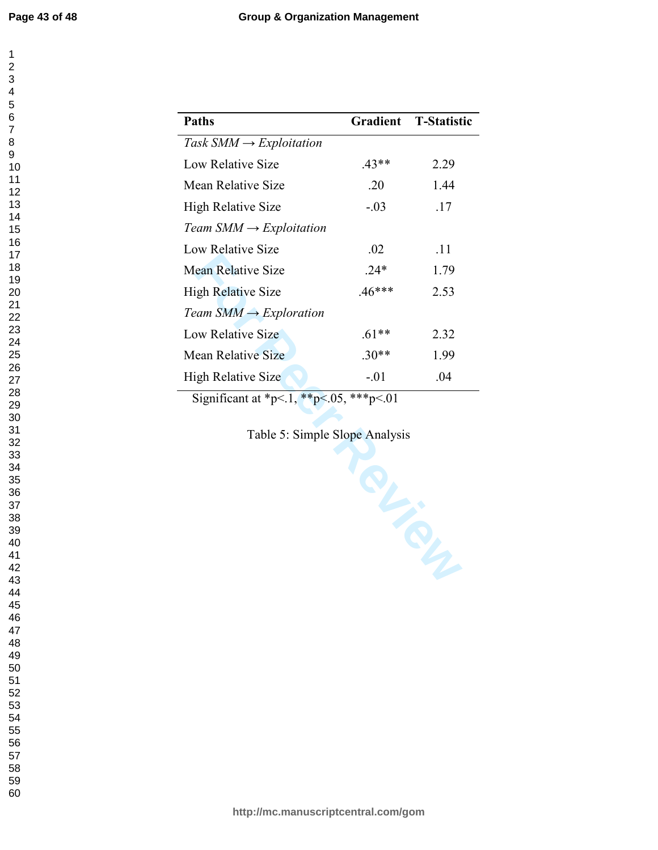i.

| 1                                                               |  |
|-----------------------------------------------------------------|--|
|                                                                 |  |
|                                                                 |  |
|                                                                 |  |
|                                                                 |  |
|                                                                 |  |
|                                                                 |  |
|                                                                 |  |
|                                                                 |  |
|                                                                 |  |
|                                                                 |  |
|                                                                 |  |
|                                                                 |  |
|                                                                 |  |
|                                                                 |  |
|                                                                 |  |
|                                                                 |  |
|                                                                 |  |
|                                                                 |  |
|                                                                 |  |
|                                                                 |  |
|                                                                 |  |
|                                                                 |  |
| 234567891011213456789012212<br>22<br>23<br>24<br>25<br>26<br>27 |  |
|                                                                 |  |
|                                                                 |  |
|                                                                 |  |
|                                                                 |  |
|                                                                 |  |
| ~<br>28                                                         |  |
| ∠o<br>29                                                        |  |
|                                                                 |  |
| $\overline{\textbf{30}}$                                        |  |
| $\overline{\mathbf{3}}$                                         |  |
| $\frac{1}{2}$                                                   |  |
| 33<br>34<br>35                                                  |  |
|                                                                 |  |
|                                                                 |  |
|                                                                 |  |
| 36<br>37                                                        |  |
| $\overline{\mathbf{3}}$<br>$\overline{\mathbf{3}}$              |  |
| 39                                                              |  |
| 40                                                              |  |
| 41                                                              |  |
| 42                                                              |  |
|                                                                 |  |
| 43                                                              |  |
| 44                                                              |  |
| 45                                                              |  |
| 46                                                              |  |
| 47                                                              |  |
| 48                                                              |  |
| 49                                                              |  |
| 50                                                              |  |
| 51                                                              |  |
| 5,<br>$\overline{2}$                                            |  |
| 53                                                              |  |
| 54                                                              |  |
|                                                                 |  |
| 55                                                              |  |
| .<br>56                                                         |  |
| 57                                                              |  |
| 58                                                              |  |
| 59                                                              |  |

| <b>Paths</b>                        |          | Gradient T-Statistic |
|-------------------------------------|----------|----------------------|
| Task $SMM \rightarrow Exploitation$ |          |                      |
| Low Relative Size                   | $.43**$  | 2.29                 |
| Mean Relative Size                  | .20      | 1.44                 |
| High Relative Size                  | $-.03$   | .17                  |
| Team $SMM \rightarrow Exploitation$ |          |                      |
| Low Relative Size                   | .02      | .11                  |
| <b>Mean Relative Size</b>           | $24*$    | 1.79                 |
| <b>High Relative Size</b>           | $.46***$ | 2.53                 |
| Team $SMM \rightarrow Exploration$  |          |                      |
| Low Relative Size                   | $61**$   | 2.32                 |
| Mean Relative Size                  | $30**$   | 1.99                 |
| <b>High Relative Size</b>           | $-.01$   | .04                  |

Significant at \*p<.1, \*\*p<.05, \*\*\*p<.01

Table 5: Simple Slope Analysis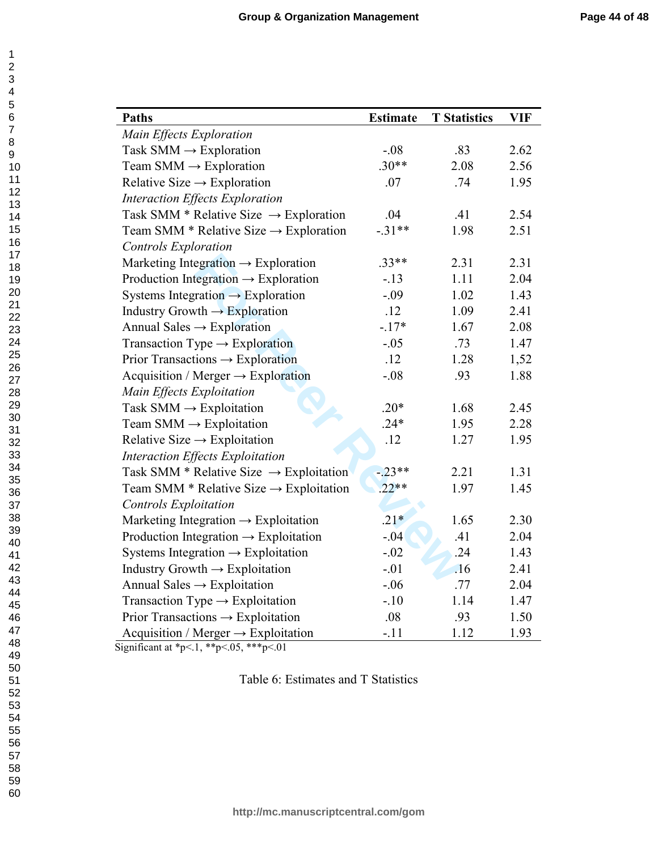| <b>Paths</b>                                        | <b>Estimate</b> | <b>T</b> Statistics | <b>VIF</b> |
|-----------------------------------------------------|-----------------|---------------------|------------|
| Main Effects Exploration                            |                 |                     |            |
| Task SMM $\rightarrow$ Exploration                  | $-.08$          | .83                 | 2.62       |
| Team SMM $\rightarrow$ Exploration                  | $.30**$         | 2.08                | 2.56       |
| Relative Size $\rightarrow$ Exploration             | .07             | .74                 | 1.95       |
| Interaction Effects Exploration                     |                 |                     |            |
| Task SMM * Relative Size $\rightarrow$ Exploration  | .04             | .41                 | 2.54       |
| Team SMM * Relative Size $\rightarrow$ Exploration  | $-.31**$        | 1.98                | 2.51       |
| <b>Controls Exploration</b>                         |                 |                     |            |
| Marketing Integration $\rightarrow$ Exploration     | $.33**$         | 2.31                | 2.31       |
| Production Integration $\rightarrow$ Exploration    | $-.13$          | 1.11                | 2.04       |
| Systems Integration $\rightarrow$ Exploration       | $-.09$          | 1.02                | 1.43       |
| Industry Growth $\rightarrow$ Exploration           | .12             | 1.09                | 2.41       |
| Annual Sales $\rightarrow$ Exploration              | $-17*$          | 1.67                | 2.08       |
| Transaction Type $\rightarrow$ Exploration          | $-.05$          | .73                 | 1.47       |
| Prior Transactions $\rightarrow$ Exploration        | .12             | 1.28                | 1,52       |
| Acquisition / Merger $\rightarrow$ Exploration      | $-.08$          | .93                 | 1.88       |
| Main Effects Exploitation                           |                 |                     |            |
| Task $SMM \rightarrow$ Exploitation                 | $.20*$          | 1.68                | 2.45       |
| Team SMM $\rightarrow$ Exploitation                 | $.24*$          | 1.95                | 2.28       |
| Relative Size $\rightarrow$ Exploitation            | .12             | 1.27                | 1.95       |
| Interaction Effects Exploitation                    |                 |                     |            |
| Task SMM * Relative Size $\rightarrow$ Exploitation | $-23**$         | 2.21                | 1.31       |
| Team SMM * Relative Size $\rightarrow$ Exploitation | $.22**$         | 1.97                | 1.45       |
| <b>Controls Exploitation</b>                        |                 |                     |            |
| Marketing Integration $\rightarrow$ Exploitation    | $.21*$          | 1.65                | 2.30       |
| Production Integration $\rightarrow$ Exploitation   | $-.04$          | .41                 | 2.04       |
| Systems Integration $\rightarrow$ Exploitation      | $-.02$          | .24                 | 1.43       |
| Industry Growth $\rightarrow$ Exploitation          | $-.01$          | .16                 | 2.41       |
| Annual Sales $\rightarrow$ Exploitation             | $-.06$          | .77                 | 2.04       |
| Transaction Type $\rightarrow$ Exploitation         | $-.10$          | 1.14                | 1.47       |
| Prior Transactions $\rightarrow$ Exploitation       | .08             | .93                 | 1.50       |
| Acquisition / Merger $\rightarrow$ Exploitation     | $-.11$          | 1.12                | 1.93       |

Significant at \*p<.1, \*\*p<.05, \*\*\*p<.01

Table 6: Estimates and T Statistics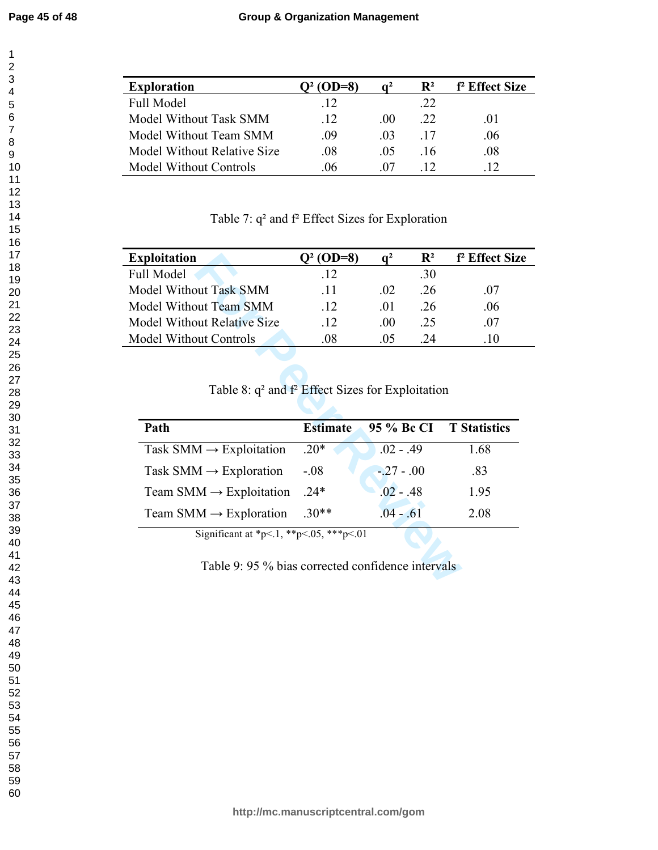$\mathbf 1$ 

| <b>Exploration</b>            | $(OD=8)$ |          | $\mathbf{R}^2$ | f <sup>2</sup> Effect Size |
|-------------------------------|----------|----------|----------------|----------------------------|
| <b>Full Model</b>             | -12      |          | .22            |                            |
| Model Without Task SMM        | -12      | (0()     | -22            | -01                        |
| Model Without Team SMM        | -09      | (1)      | -17            | -06                        |
| Model Without Relative Size   | -08      | -05      | -16            | .08                        |
| <b>Model Without Controls</b> | 06       | $\alpha$ |                |                            |

Table 7: q² and f² Effect Sizes for Exploration

| <b>Exploitation</b>                | O <sup>2</sup> (OD=8) |          | $\mathbf{R}^2$ | f <sup>2</sup> Effect Size |
|------------------------------------|-----------------------|----------|----------------|----------------------------|
| <b>Full Model</b>                  | .12                   |          | .30            |                            |
| Model Without Task SMM             | -11                   | 02       | -26            | 07                         |
| Model Without Team SMM             | .12                   | $\Omega$ | -26            | .06                        |
| <b>Model Without Relative Size</b> | .12                   | .00      | .25            | 07                         |
| <b>Model Without Controls</b>      | 08                    | 05       | 24             |                            |

Table 8: q² and f² Effect Sizes for Exploitation

| <b>Exploitation</b>                                                                          | $Q^2$ (OD=8)    | $q^2$       | $\mathbf{R}^2$ | f <sup>2</sup> Effect Siz |
|----------------------------------------------------------------------------------------------|-----------------|-------------|----------------|---------------------------|
| ull Model                                                                                    | .12             |             | .30            |                           |
| <b>Jodel Without Task SMM</b>                                                                | .11             | .02         | .26            | .07                       |
| <b>Model Without Team SMM</b>                                                                | .12             | .01         | .26            | .06                       |
| <b><i>Aodel Without Relative Size</i></b>                                                    | .12             | .00.        | .25            | .07                       |
| <b><i>Aodel Without Controls</i></b>                                                         | .08             | .05         | .24            | .10                       |
| Table 8: $q^2$ and $f^2$ Effect Sizes for Exploitation<br>Path                               | <b>Estimate</b> | 95 % Bc CI  |                | <b>T</b> Statistics       |
| Task SMM $\rightarrow$ Exploitation                                                          | $.20*$          | $.02 - .49$ |                | 1.68                      |
| Task SMM $\rightarrow$ Exploration                                                           | $-0.08$         | $-.27-.00$  |                | .83                       |
| Team SMM $\rightarrow$ Exploitation                                                          | $.24*$          | $.02 - .48$ |                | 1.95                      |
|                                                                                              |                 |             |                |                           |
| Team SMM $\rightarrow$ Exploration                                                           | $.30**$         | $.04 - .61$ |                | 2.08                      |
| Significant at *p<.1, **p<.05, ***p<.01<br>Table 9: 95 % bias corrected confidence intervals |                 |             |                |                           |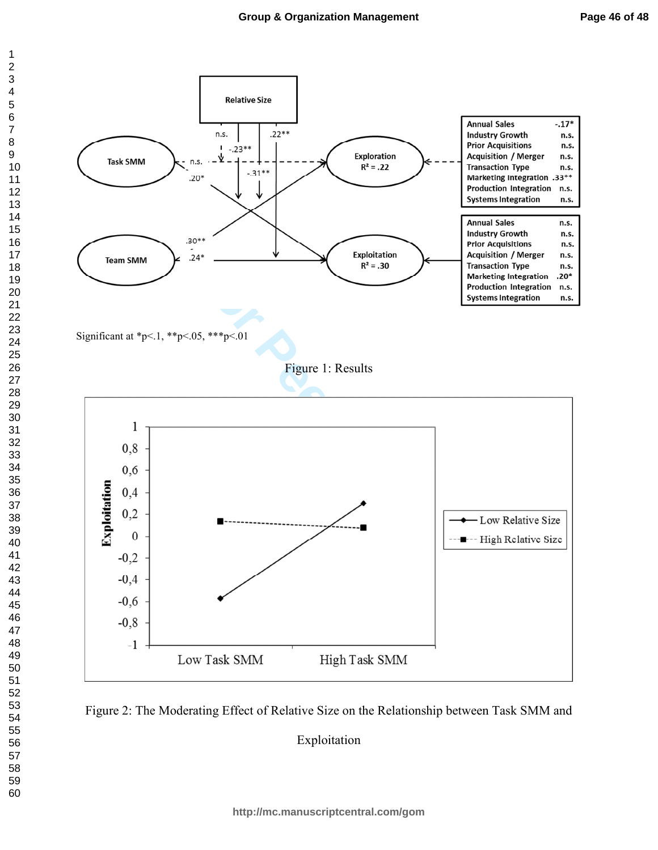



Exploitation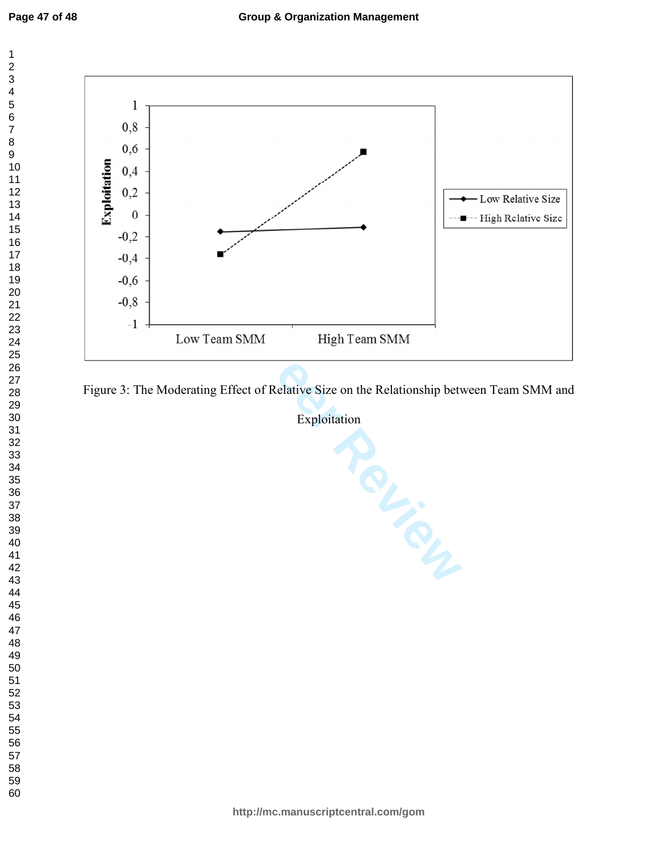$\mathbf 1$ 



Figure 3: The Moderating Effect of Relative Size on the Relationship between Team SMM and

Exploitation